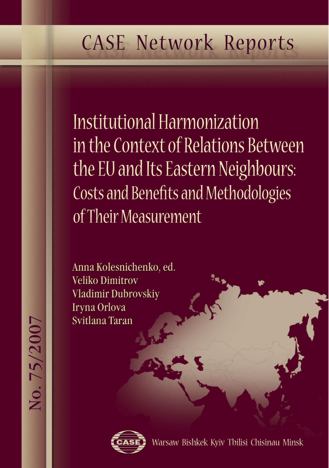# **CASE Network Reports**

Institutional Harmonization in the Context of Relations Between the EU and Its Eastern Neighbours: Costs and Benefits and Methodologies of Their Measurement

Anna Kolesnichenko, ed. **Veliko Dimitrov** Vladimir Dubrovskiy Iryna Orlova Svitlana Taran



Warsaw Bishkek Kyiv Tbilisi Chisinau Minsk

No. 75/2007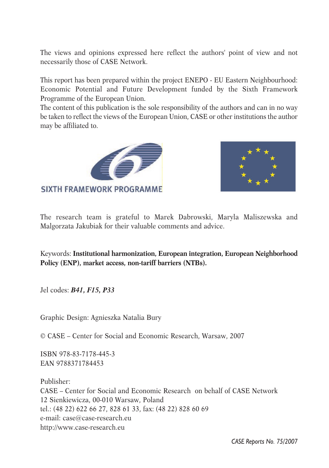The views and opinions expressed here reflect the authors' point of view and not necessarily those of CASE Network.

This report has been prepared within the project ENEPO - EU Eastern Neighbourhood: Economic Potential and Future Development funded by the Sixth Framework Programme of the European Union.

The content of this publication is the sole responsibility of the authors and can in no way be taken to reflect the views of the European Union, CASE or other institutions the author may be affiliated to.





The research team is grateful to Marek Dabrowski, Maryla Maliszewska and Malgorzata Jakubiak for their valuable comments and advice.

Keywords: **Institutional harmonization, European integration, European Neighborhood Policy (ENP), market access, non-tariff barriers (NTBs).**

Jel codes: *B41, F15, P33*

Graphic Design: Agnieszka Natalia Bury

© CASE – Center for Social and Economic Research, Warsaw, 2007

ISBN 978-83-7178-445-3 EAN 9788371784453

Publisher: CASE – Center for Social and Economic Research on behalf of CASE Network 12 Sienkiewicza, 00-010 Warsaw, Poland tel.: (48 22) 622 66 27, 828 61 33, fax: (48 22) 828 60 69 e-mail: case@case-research.eu http://www.case-research.eu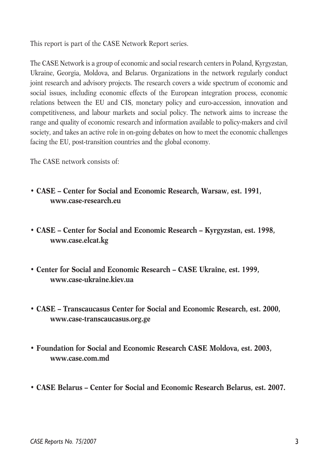This report is part of the CASE Network Report series.

The CASE Network is a group of economic and social research centers in Poland, Kyrgyzstan, Ukraine, Georgia, Moldova, and Belarus. Organizations in the network regularly conduct joint research and advisory projects. The research covers a wide spectrum of economic and social issues, including economic effects of the European integration process, economic relations between the EU and CIS, monetary policy and euro-accession, innovation and competitiveness, and labour markets and social policy. The network aims to increase the range and quality of economic research and information available to policy-makers and civil society, and takes an active role in on-going debates on how to meet the economic challenges facing the EU, post-transition countries and the global economy.

The CASE network consists of:

- **CASE Center for Social and Economic Research, Warsaw, est. 1991, www.case-research.eu**
- **CASE Center for Social and Economic Research Kyrgyzstan, est. 1998, www.case.elcat.kg**
- **Center for Social and Economic Research CASE Ukraine, est. 1999, www.case-ukraine.kiev.ua**
- **CASE Transcaucasus Center for Social and Economic Research, est. 2000, www.case-transcaucasus.org.ge**
- **Foundation for Social and Economic Research CASE Moldova, est. 2003, www.case.com.md**
- **CASE Belarus Center for Social and Economic Research Belarus, est. 2007.**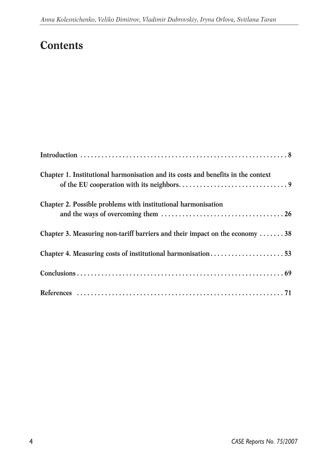# **Contents**

| Chapter 1. Institutional harmonisation and its costs and benefits in the context |
|----------------------------------------------------------------------------------|
| Chapter 2. Possible problems with institutional harmonisation                    |
| Chapter 3. Measuring non-tariff barriers and their impact on the economy 38      |
| Chapter 4. Measuring costs of institutional harmonisation53                      |
|                                                                                  |
|                                                                                  |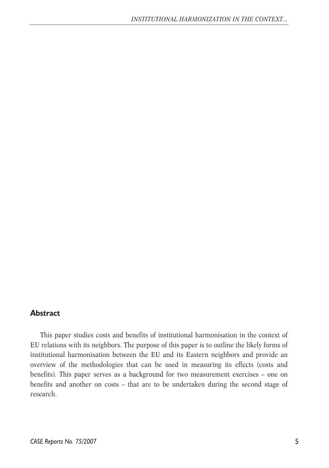#### **Abstract**

This paper studies costs and benefits of institutional harmonisation in the context of EU relations with its neighbors. The purpose of this paper is to outline the likely forms of institutional harmonisation between the EU and its Eastern neighbors and provide an overview of the methodologies that can be used in measuring its effects (costs and benefits). This paper serves as a background for two measurement exercises – one on benefits and another on costs – that are to be undertaken during the second stage of research.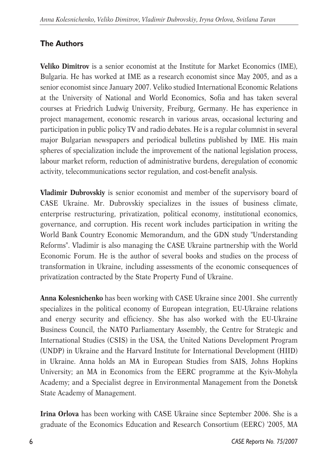# **The Authors**

**Veliko Dimitrov** is a senior economist at the Institute for Market Economics (IME), Bulgaria. He has worked at IME as a research economist since May 2005, and as a senior economist since January 2007. Veliko studied International Economic Relations at the University of National and World Economics, Sofia and has taken several courses at Friedrich Ludwig University, Freiburg, Germany. He has experience in project management, economic research in various areas, occasional lecturing and participation in public policy TV and radio debates. He is a regular columnist in several major Bulgarian newspapers and periodical bulletins published by IME. His main spheres of specialization include the improvement of the national legislation process, labour market reform, reduction of administrative burdens, deregulation of economic activity, telecommunications sector regulation, and cost-benefit analysis.

**Vladimir Dubrovskiy** is senior economist and member of the supervisory board of CASE Ukraine. Mr. Dubrovskiy specializes in the issues of business climate, enterprise restructuring, privatization, political economy, institutional economics, governance, and corruption. His recent work includes participation in writing the World Bank Country Economic Memorandum, and the GDN study "Understanding Reforms". Vladimir is also managing the CASE Ukraine partnership with the World Economic Forum. He is the author of several books and studies on the process of transformation in Ukraine, including assessments of the economic consequences of privatization contracted by the State Property Fund of Ukraine.

**Anna Kolesnichenko** has been working with CASE Ukraine since 2001. She currently specializes in the political economy of European integration, EU-Ukraine relations and energy security and efficiency. She has also worked with the EU-Ukraine Business Council, the NATO Parliamentary Assembly, the Centre for Strategic and International Studies (CSIS) in the USA, the United Nations Development Program (UNDP) in Ukraine and the Harvard Institute for International Development (HIID) in Ukraine. Anna holds an MA in European Studies from SAIS, Johns Hopkins University; an MA in Economics from the EERC programme at the Kyiv-Mohyla Academy; and a Specialist degree in Environmental Management from the Donetsk State Academy of Management.

**Irina Orlova** has been working with CASE Ukraine since September 2006. She is a graduate of the Economics Education and Research Consortium (EERC) '2005, MA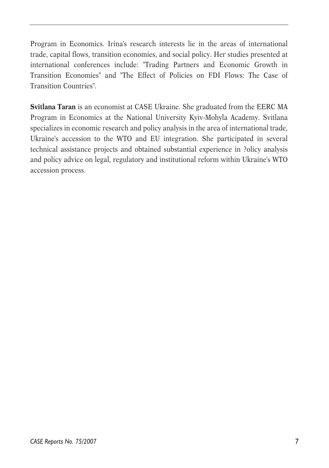Program in Economics. Irina's research interests lie in the areas of international trade, capital flows, transition economies, and social policy. Her studies presented at international conferences include: "Trading Partners and Economic Growth in Transition Economies" and "The Effect of Policies on FDI Flows: The Case of Transition Countries".

**Svitlana Taran** is an economist at CASE Ukraine. She graduated from the EERC MA Program in Economics at the National University Kyiv-Mohyla Academy. Svitlana specializes in economic research and policy analysis in the area of international trade, Ukraine's accession to the WTO and EU integration. She participated in several technical assistance projects and obtained substantial experience in ?olicy analysis and policy advice on legal, regulatory and institutional reform within Ukraine's WTO accession process.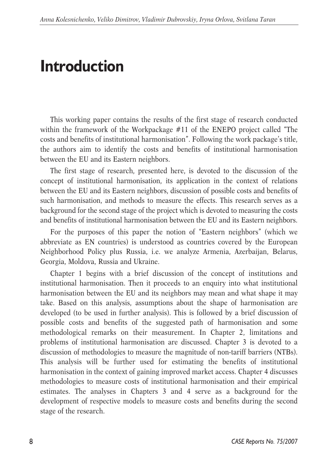# **Introduction**

This working paper contains the results of the first stage of research conducted within the framework of the Workpackage #11 of the ENEPO project called "The costs and benefits of institutional harmonisation". Following the work package's title, the authors aim to identify the costs and benefits of institutional harmonisation between the EU and its Eastern neighbors.

The first stage of research, presented here, is devoted to the discussion of the concept of institutional harmonisation, its application in the context of relations between the EU and its Eastern neighbors, discussion of possible costs and benefits of such harmonisation, and methods to measure the effects. This research serves as a background for the second stage of the project which is devoted to measuring the costs and benefits of institutional harmonisation between the EU and its Eastern neighbors.

For the purposes of this paper the notion of "Eastern neighbors" (which we abbreviate as EN countries) is understood as countries covered by the European Neighborhood Policy plus Russia, i.e. we analyze Armenia, Azerbaijan, Belarus, Georgia, Moldova, Russia and Ukraine.

Chapter 1 begins with a brief discussion of the concept of institutions and institutional harmonisation. Then it proceeds to an enquiry into what institutional harmonisation between the EU and its neighbors may mean and what shape it may take. Based on this analysis, assumptions about the shape of harmonisation are developed (to be used in further analysis). This is followed by a brief discussion of possible costs and benefits of the suggested path of harmonisation and some methodological remarks on their measurement. In Chapter 2, limitations and problems of institutional harmonisation are discussed. Chapter 3 is devoted to a discussion of methodologies to measure the magnitude of non-tariff barriers (NTBs). This analysis will be further used for estimating the benefits of institutional harmonisation in the context of gaining improved market access. Chapter 4 discusses methodologies to measure costs of institutional harmonisation and their empirical estimates. The analyses in Chapters 3 and 4 serve as a background for the development of respective models to measure costs and benefits during the second stage of the research.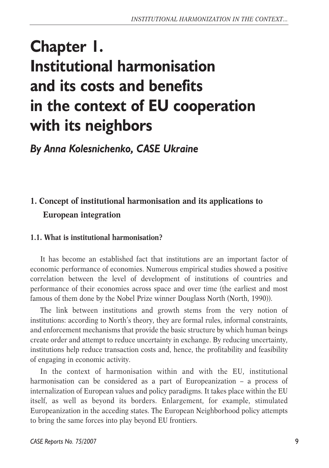# **Chapter 1. Institutional harmonisation and its costs and benefits in the context of EU cooperation with its neighbors**

*By Anna Kolesnichenko, CASE Ukraine*

# **1. Concept of institutional harmonisation and its applications to European integration**

# **1.1. What is institutional harmonisation?**

It has become an established fact that institutions are an important factor of economic performance of economies. Numerous empirical studies showed a positive correlation between the level of development of institutions of countries and performance of their economies across space and over time (the earliest and most famous of them done by the Nobel Prize winner Douglass North (North, 1990)).

The link between institutions and growth stems from the very notion of institutions: according to North's theory, they are formal rules, informal constraints, and enforcement mechanisms that provide the basic structure by which human beings create order and attempt to reduce uncertainty in exchange. By reducing uncertainty, institutions help reduce transaction costs and, hence, the profitability and feasibility of engaging in economic activity.

In the context of harmonisation within and with the EU, institutional harmonisation can be considered as a part of Europeanization – a process of internalization of European values and policy paradigms. It takes place within the EU itself, as well as beyond its borders. Enlargement, for example, stimulated Europeanization in the acceding states. The European Neighborhood policy attempts to bring the same forces into play beyond EU frontiers.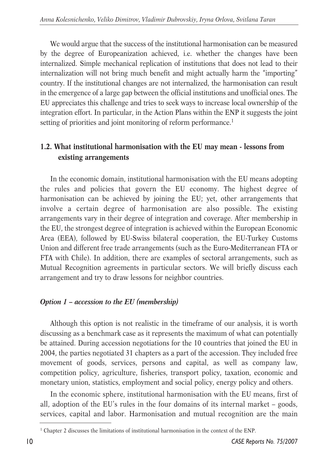We would argue that the success of the institutional harmonisation can be measured by the degree of Europeanization achieved, i.e. whether the changes have been internalized. Simple mechanical replication of institutions that does not lead to their internalization will not bring much benefit and might actually harm the "importing" country. If the institutional changes are not internalized, the harmonisation can result in the emergence of a large gap between the official institutions and unofficial ones. The EU appreciates this challenge and tries to seek ways to increase local ownership of the integration effort. In particular, in the Action Plans within the ENP it suggests the joint setting of priorities and joint monitoring of reform performance.<sup>1</sup>

# **1.2. What institutional harmonisation with the EU may mean - lessons from existing arrangements**

In the economic domain, institutional harmonisation with the EU means adopting the rules and policies that govern the EU economy. The highest degree of harmonisation can be achieved by joining the EU; yet, other arrangements that involve a certain degree of harmonisation are also possible. The existing arrangements vary in their degree of integration and coverage. After membership in the EU, the strongest degree of integration is achieved within the European Economic Area (EEA), followed by EU-Swiss bilateral cooperation, the EU-Turkey Customs Union and different free trade arrangements (such as the Euro-Mediterranean FTA or FTA with Chile). In addition, there are examples of sectoral arrangements, such as Mutual Recognition agreements in particular sectors. We will briefly discuss each arrangement and try to draw lessons for neighbor countries.

# *Option 1 – accession to the EU (membership)*

Although this option is not realistic in the timeframe of our analysis, it is worth discussing as a benchmark case as it represents the maximum of what can potentially be attained. During accession negotiations for the 10 countries that joined the EU in 2004, the parties negotiated 31 chapters as a part of the accession. They included free movement of goods, services, persons and capital, as well as company law, competition policy, agriculture, fisheries, transport policy, taxation, economic and monetary union, statistics, employment and social policy, energy policy and others.

In the economic sphere, institutional harmonisation with the EU means, first of all, adoption of the EU's rules in the four domains of its internal market – goods, services, capital and labor. Harmonisation and mutual recognition are the main

<sup>&</sup>lt;sup>1</sup> Chapter 2 discusses the limitations of institutional harmonisation in the context of the ENP.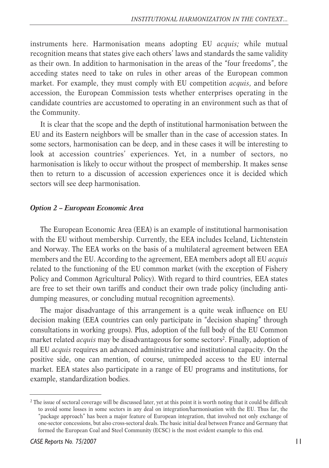instruments here. Harmonisation means adopting EU *acquis;* while mutual recognition means that states give each others' laws and standards the same validity as their own. In addition to harmonisation in the areas of the "four freedoms", the acceding states need to take on rules in other areas of the European common market. For example, they must comply with EU competition *acquis*, and before accession, the European Commission tests whether enterprises operating in the candidate countries are accustomed to operating in an environment such as that of the Community.

It is clear that the scope and the depth of institutional harmonisation between the EU and its Eastern neighbors will be smaller than in the case of accession states. In some sectors, harmonisation can be deep, and in these cases it will be interesting to look at accession countries' experiences. Yet, in a number of sectors, no harmonisation is likely to occur without the prospect of membership. It makes sense then to return to a discussion of accession experiences once it is decided which sectors will see deep harmonisation.

#### *Option 2 – European Economic Area*

The European Economic Area (EEA) is an example of institutional harmonisation with the EU without membership. Currently, the EEA includes Iceland, Lichtenstein and Norway. The EEA works on the basis of a multilateral agreement between EEA members and the EU. According to the agreement, EEA members adopt all EU *acquis* related to the functioning of the EU common market (with the exception of Fishery Policy and Common Agricultural Policy). With regard to third countries, EEA states are free to set their own tariffs and conduct their own trade policy (including antidumping measures, or concluding mutual recognition agreements).

The major disadvantage of this arrangement is a quite weak influence on EU decision making (EEA countries can only participate in "decision shaping" through consultations in working groups). Plus, adoption of the full body of the EU Common market related *acquis* may be disadvantageous for some sectors<sup>2</sup>. Finally, adoption of all EU *acquis* requires an advanced administrative and institutional capacity. On the positive side, one can mention, of course, unimpeded access to the EU internal market. EEA states also participate in a range of EU programs and institutions, for example, standardization bodies.

<sup>&</sup>lt;sup>2</sup> The issue of sectoral coverage will be discussed later, yet at this point it is worth noting that it could be difficult to avoid some losses in some sectors in any deal on integration/harmonisation with the EU. Thus far, the "package approach" has been a major feature of European integration, that involved not only exchange of one-sector concessions, but also cross-sectoral deals. The basic initial deal between France and Germany that formed the European Coal and Steel Community (ECSC) is the most evident example to this end.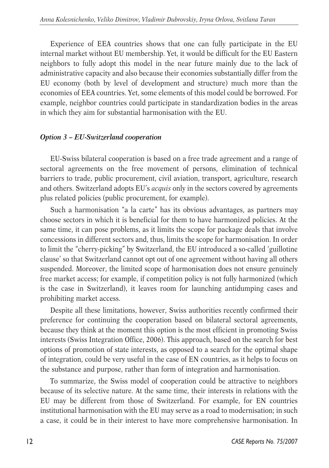Experience of EEA countries shows that one can fully participate in the EU internal market without EU membership. Yet, it would be difficult for the EU Eastern neighbors to fully adopt this model in the near future mainly due to the lack of administrative capacity and also because their economies substantially differ from the EU economy (both by level of development and structure) much more than the economies of EEA countries. Yet, some elements of this model could be borrowed. For example, neighbor countries could participate in standardization bodies in the areas in which they aim for substantial harmonisation with the EU.

# *Option 3 – EU-Switzerland cooperation*

EU-Swiss bilateral cooperation is based on a free trade agreement and a range of sectoral agreements on the free movement of persons, elimination of technical barriers to trade, public procurement, civil aviation, transport, agriculture, research and others. Switzerland adopts EU's *acquis* only in the sectors covered by agreements plus related policies (public procurement, for example).

Such a harmonisation "a la carte" has its obvious advantages, as partners may choose sectors in which it is beneficial for them to have harmonized policies. At the same time, it can pose problems, as it limits the scope for package deals that involve concessions in different sectors and, thus, limits the scope for harmonisation. In order to limit the "cherry-picking" by Switzerland, the EU introduced a so-called 'guillotine clause' so that Switzerland cannot opt out of one agreement without having all others suspended. Moreover, the limited scope of harmonisation does not ensure genuinely free market access; for example, if competition policy is not fully harmonized (which is the case in Switzerland), it leaves room for launching antidumping cases and prohibiting market access.

Despite all these limitations, however, Swiss authorities recently confirmed their preference for continuing the cooperation based on bilateral sectoral agreements, because they think at the moment this option is the most efficient in promoting Swiss interests (Swiss Integration Office, 2006). This approach, based on the search for best options of promotion of state interests, as opposed to a search for the optimal shape of integration, could be very useful in the case of EN countries, as it helps to focus on the substance and purpose, rather than form of integration and harmonisation.

To summarize, the Swiss model of cooperation could be attractive to neighbors because of its selective nature. At the same time, their interests in relations with the EU may be different from those of Switzerland. For example, for EN countries institutional harmonisation with the EU may serve as a road to modernisation; in such a case, it could be in their interest to have more comprehensive harmonisation. In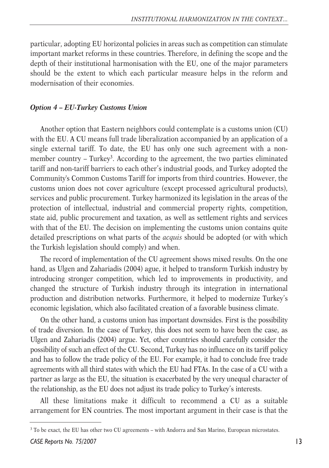particular, adopting EU horizontal policies in areas such as competition can stimulate important market reforms in these countries. Therefore, in defining the scope and the depth of their institutional harmonisation with the EU, one of the major parameters should be the extent to which each particular measure helps in the reform and modernisation of their economies.

#### *Option 4 – EU-Turkey Customs Union*

Another option that Eastern neighbors could contemplate is a customs union (CU) with the EU. A CU means full trade liberalization accompanied by an application of a single external tariff. To date, the EU has only one such agreement with a nonmember country – Turkey<sup>3</sup>. According to the agreement, the two parties eliminated tariff and non-tariff barriers to each other's industrial goods, and Turkey adopted the Community's Common Customs Tariff for imports from third countries. However, the customs union does not cover agriculture (except processed agricultural products), services and public procurement. Turkey harmonized its legislation in the areas of the protection of intellectual, industrial and commercial property rights, competition, state aid, public procurement and taxation, as well as settlement rights and services with that of the EU. The decision on implementing the customs union contains quite detailed prescriptions on what parts of the *acquis* should be adopted (or with which the Turkish legislation should comply) and when.

The record of implementation of the CU agreement shows mixed results. On the one hand, as Ulgen and Zahariadis (2004) ague, it helped to transform Turkish industry by introducing stronger competition, which led to improvements in productivity, and changed the structure of Turkish industry through its integration in international production and distribution networks. Furthermore, it helped to modernize Turkey's economic legislation, which also facilitated creation of a favorable business climate.

On the other hand, a customs union has important downsides. First is the possibility of trade diversion. In the case of Turkey, this does not seem to have been the case, as Ulgen and Zahariadis (2004) argue. Yet, other countries should carefully consider the possibility of such an effect of the CU. Second, Turkey has no influence on its tariff policy and has to follow the trade policy of the EU. For example, it had to conclude free trade agreements with all third states with which the EU had FTAs. In the case of a CU with a partner as large as the EU, the situation is exacerbated by the very unequal character of the relationship, as the EU does not adjust its trade policy to Turkey's interests.

All these limitations make it difficult to recommend a CU as a suitable arrangement for EN countries. The most important argument in their case is that the

<sup>3</sup> To be exact, the EU has other two CU agreements – with Andorra and San Marino, European microstates.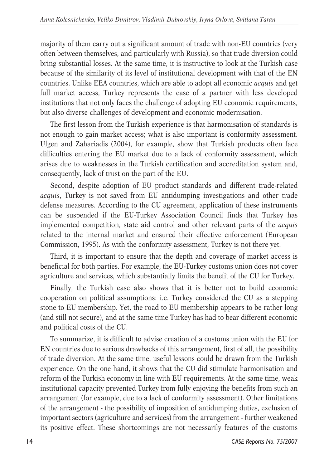majority of them carry out a significant amount of trade with non-EU countries (very often between themselves, and particularly with Russia), so that trade diversion could bring substantial losses. At the same time, it is instructive to look at the Turkish case because of the similarity of its level of institutional development with that of the EN countries. Unlike EEA countries, which are able to adopt all economic *acquis* and get full market access, Turkey represents the case of a partner with less developed institutions that not only faces the challenge of adopting EU economic requirements, but also diverse challenges of development and economic modernisation.

The first lesson from the Turkish experience is that harmonisation of standards is not enough to gain market access; what is also important is conformity assessment. Ulgen and Zahariadis (2004), for example, show that Turkish products often face difficulties entering the EU market due to a lack of conformity assessment, which arises due to weaknesses in the Turkish certification and accreditation system and, consequently, lack of trust on the part of the EU.

Second, despite adoption of EU product standards and different trade-related *acquis*, Turkey is not saved from EU antidumping investigations and other trade defense measures. According to the CU agreement, application of these instruments can be suspended if the EU-Turkey Association Council finds that Turkey has implemented competition, state aid control and other relevant parts of the *acquis* related to the internal market and ensured their effective enforcement (European Commission, 1995). As with the conformity assessment, Turkey is not there yet.

Third, it is important to ensure that the depth and coverage of market access is beneficial for both parties. For example, the EU-Turkey customs union does not cover agriculture and services, which substantially limits the benefit of the CU for Turkey.

Finally, the Turkish case also shows that it is better not to build economic cooperation on political assumptions: i.e. Turkey considered the CU as a stepping stone to EU membership. Yet, the road to EU membership appears to be rather long (and still not secure), and at the same time Turkey has had to bear different economic and political costs of the CU.

To summarize, it is difficult to advise creation of a customs union with the EU for EN countries due to serious drawbacks of this arrangement, first of all, the possibility of trade diversion. At the same time, useful lessons could be drawn from the Turkish experience. On the one hand, it shows that the CU did stimulate harmonisation and reform of the Turkish economy in line with EU requirements. At the same time, weak institutional capacity prevented Turkey from fully enjoying the benefits from such an arrangement (for example, due to a lack of conformity assessment). Other limitations of the arrangement - the possibility of imposition of antidumping duties, exclusion of important sectors (agriculture and services) from the arrangement - further weakened its positive effect. These shortcomings are not necessarily features of the customs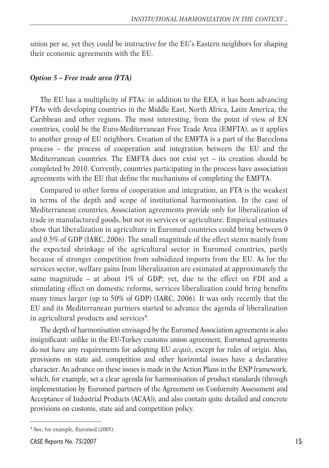union per se, yet they could be instructive for the EU's Eastern neighbors for shaping their economic agreements with the EU.

#### *Option 5 – Free trade area (FTA)*

The EU has a multiplicity of FTAs: in addition to the EEA, it has been advancing FTAs with developing countries in the Middle East, North Africa, Latin America, the Caribbean and other regions. The most interesting, from the point of view of EN countries, could be the Euro-Mediterranean Free Trade Area (EMFTA), as it applies to another group of EU neighbors. Creation of the EMFTA is a part of the Barcelona process – the process of cooperation and integration between the EU and the Mediterranean countries. The EMFTA does not exist yet – its creation should be completed by 2010. Currently, countries participating in the process have association agreements with the EU that define the mechanisms of completing the EMFTA.

Compared to other forms of cooperation and integration, an FTA is the weakest in terms of the depth and scope of institutional harmonisation. In the case of Mediterranean countries, Association agreements provide only for liberalization of trade in manufactured goods, but not in services or agriculture. Empirical estimates show that liberalization in agriculture in Euromed countries could bring between 0 and 0.5% of GDP (IARC, 2006). The small magnitude of the effect stems mainly from the expected shrinkage of the agricultural sector in Euromed countries, partly because of stronger competition from subsidized imports from the EU. As for the services sector, welfare gains from liberalization are estimated at approximately the same magnitude – at about 1% of GDP; yet, due to the effect on FDI and a stimulating effect on domestic reforms, services liberalization could bring benefits many times larger (up to 50% of GDP) (IARC, 2006). It was only recently that the EU and its Mediterranean partners started to advance the agenda of liberalization in agricultural products and services<sup>4</sup>.

The depth of harmonisation envisaged by the Euromed Association agreements is also insignificant: unlike in the EU-Turkey customs union agreement, Euromed agreements do not have any requirements for adopting EU *acquis*, except for rules of origin. Also, provisions on state aid, competition and other horizontal issues have a declarative character. An advance on these issues is made in the Action Plans in the ENP framework, which, for example, set a clear agenda for harmonisation of product standards (through implementation by Euromed partners of the Agreement on Conformity Assessment and Acceptance of Industrial Products (ACAA)), and also contain quite detailed and concrete provisions on customs, state aid and competition policy.

<sup>4</sup> See, for example, Euromed (2005).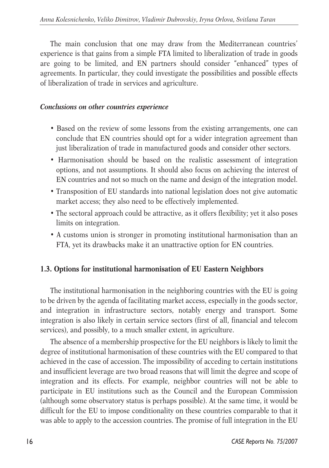The main conclusion that one may draw from the Mediterranean countries' experience is that gains from a simple FTA limited to liberalization of trade in goods are going to be limited, and EN partners should consider "enhanced" types of agreements. In particular, they could investigate the possibilities and possible effects of liberalization of trade in services and agriculture.

#### *Conclusions on other countries experience*

- Based on the review of some lessons from the existing arrangements, one can conclude that EN countries should opt for a wider integration agreement than just liberalization of trade in manufactured goods and consider other sectors.
- Harmonisation should be based on the realistic assessment of integration options, and not assumptions. It should also focus on achieving the interest of EN countries and not so much on the name and design of the integration model.
- Transposition of EU standards into national legislation does not give automatic market access; they also need to be effectively implemented.
- The sectoral approach could be attractive, as it offers flexibility; yet it also poses limits on integration.
- A customs union is stronger in promoting institutional harmonisation than an FTA, yet its drawbacks make it an unattractive option for EN countries.

# **1.3. Options for institutional harmonisation of EU Eastern Neighbors**

The institutional harmonisation in the neighboring countries with the EU is going to be driven by the agenda of facilitating market access, especially in the goods sector, and integration in infrastructure sectors, notably energy and transport. Some integration is also likely in certain service sectors (first of all, financial and telecom services), and possibly, to a much smaller extent, in agriculture.

The absence of a membership prospective for the EU neighbors is likely to limit the degree of institutional harmonisation of these countries with the EU compared to that achieved in the case of accession. The impossibility of acceding to certain institutions and insufficient leverage are two broad reasons that will limit the degree and scope of integration and its effects. For example, neighbor countries will not be able to participate in EU institutions such as the Council and the European Commission (although some observatory status is perhaps possible). At the same time, it would be difficult for the EU to impose conditionality on these countries comparable to that it was able to apply to the accession countries. The promise of full integration in the EU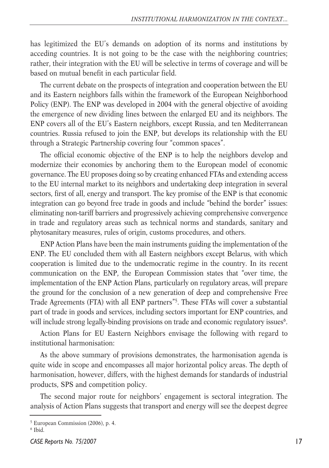has legitimized the EU's demands on adoption of its norms and institutions by acceding countries. It is not going to be the case with the neighboring countries; rather, their integration with the EU will be selective in terms of coverage and will be based on mutual benefit in each particular field.

The current debate on the prospects of integration and cooperation between the EU and its Eastern neighbors falls within the framework of the European Neighborhood Policy (ENP). The ENP was developed in 2004 with the general objective of avoiding the emergence of new dividing lines between the enlarged EU and its neighbors. The ENP covers all of the EU's Eastern neighbors, except Russia, and ten Mediterranean countries. Russia refused to join the ENP, but develops its relationship with the EU through a Strategic Partnership covering four "common spaces".

The official economic objective of the ENP is to help the neighbors develop and modernize their economies by anchoring them to the European model of economic governance. The EU proposes doing so by creating enhanced FTAs and extending access to the EU internal market to its neighbors and undertaking deep integration in several sectors, first of all, energy and transport. The key promise of the ENP is that economic integration can go beyond free trade in goods and include "behind the border" issues: eliminating non-tariff barriers and progressively achieving comprehensive convergence in trade and regulatory areas such as technical norms and standards, sanitary and phytosanitary measures, rules of origin, customs procedures, and others.

ENP Action Plans have been the main instruments guiding the implementation of the ENP. The EU concluded them with all Eastern neighbors except Belarus, with which cooperation is limited due to the undemocratic regime in the country. In its recent communication on the ENP, the European Commission states that "over time, the implementation of the ENP Action Plans, particularly on regulatory areas, will prepare the ground for the conclusion of a new generation of deep and comprehensive Free Trade Agreements (FTA) with all ENP partners"5. These FTAs will cover a substantial part of trade in goods and services, including sectors important for ENP countries, and will include strong legally-binding provisions on trade and economic regulatory issues<sup>6</sup>.

Action Plans for EU Eastern Neighbors envisage the following with regard to institutional harmonisation:

As the above summary of provisions demonstrates, the harmonisation agenda is quite wide in scope and encompasses all major horizontal policy areas. The depth of harmonisation, however, differs, with the highest demands for standards of industrial products, SPS and competition policy.

The second major route for neighbors' engagement is sectoral integration. The analysis of Action Plans suggests that transport and energy will see the deepest degree

<sup>5</sup> European Commission (2006), p. 4.

<sup>6</sup> Ibid.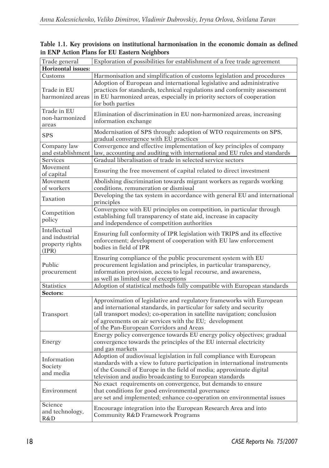|                                                            | Exploration of possibilities for establishment of a free trade agreement                                                                                                                                                                                                                                                   |
|------------------------------------------------------------|----------------------------------------------------------------------------------------------------------------------------------------------------------------------------------------------------------------------------------------------------------------------------------------------------------------------------|
| Trade general<br><b>Horizontal issues:</b>                 |                                                                                                                                                                                                                                                                                                                            |
| Customs                                                    | Harmonisation and simplification of customs legislation and procedures                                                                                                                                                                                                                                                     |
| Trade in EU<br>harmonized areas                            | Adoption of European and international legislative and administrative<br>practices for standards, technical regulations and conformity assessment<br>in EU harmonized areas, especially in priority sectors of cooperation<br>for both parties                                                                             |
| Trade in EU<br>non-harmonized<br>areas                     | Elimination of discrimination in EU non-harmonized areas, increasing<br>information exchange                                                                                                                                                                                                                               |
| <b>SPS</b>                                                 | Modernisation of SPS through: adoption of WTO requirements on SPS,<br>gradual convergence with EU practices                                                                                                                                                                                                                |
| Company law<br>and establishment                           | Convergence and effective implementation of key principles of company<br>law, accounting and auditing with international and EU rules and standards                                                                                                                                                                        |
| <b>Services</b>                                            | Gradual liberalisation of trade in selected service sectors                                                                                                                                                                                                                                                                |
| Movement<br>of capital                                     | Ensuring the free movement of capital related to direct investment                                                                                                                                                                                                                                                         |
| Movement<br>of workers                                     | Abolishing discrimination towards migrant workers as regards working<br>conditions, remuneration or dismissal                                                                                                                                                                                                              |
| Taxation                                                   | Developing the tax system in accordance with general EU and international<br>principles                                                                                                                                                                                                                                    |
| Competition<br>policy                                      | Convergence with EU principles on competition, in particular through<br>establishing full transparency of state aid, increase in capacity<br>and independence of competition authorities                                                                                                                                   |
| Intellectual<br>and industrial<br>property rights<br>(IPR) | Ensuring full conformity of IPR legislation with TRIPS and its effective<br>enforcement; development of cooperation with EU law enforcement<br>bodies in field of IPR                                                                                                                                                      |
| Public<br>procurement                                      | Ensuring compliance of the public procurement system with EU<br>procurement legislation and principles, in particular transparency,<br>information provision, access to legal recourse, and awareness,<br>as well as limited use of exceptions                                                                             |
| Statistics                                                 | Adoption of statistical methods fully compatible with European standards                                                                                                                                                                                                                                                   |
| Sectors:                                                   |                                                                                                                                                                                                                                                                                                                            |
| Transport                                                  | Approximation of legislative and regulatory frameworks with European<br>and international standards, in particular for safety and security<br>(all transport modes); co-operation in satellite navigation; conclusion<br>of agreements on air services with the EU; development<br>of the Pan-European Corridors and Areas |
| Energy                                                     | Energy policy convergence towards EU energy policy objectives; gradual<br>convergence towards the principles of the EU internal electricity<br>and gas markets                                                                                                                                                             |
| Information<br>Society<br>and media                        | Adoption of audiovisual legislation in full compliance with European<br>standards with a view to future participation in international instruments<br>of the Council of Europe in the field of media; approximate digital<br>television and audio broadcasting to European standards                                       |
| Environment                                                | No exact requirements on convergence, but demands to ensure<br>that conditions for good environmental governance<br>are set and implemented; enhance co-operation on environmental issues                                                                                                                                  |
| Science<br>and technology,<br>R&D                          | Encourage integration into the European Research Area and into<br>Community R&D Framework Programs                                                                                                                                                                                                                         |

**Table 1.1. Key provisions on institutional harmonisation in the economic domain as defined in ENP Action Plans for EU Eastern Neighbors**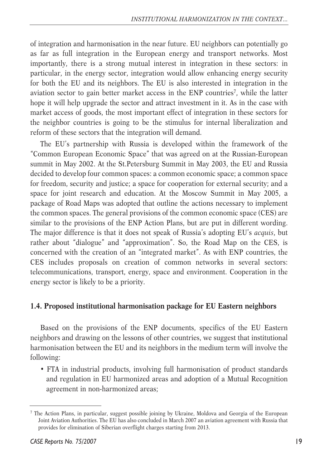of integration and harmonisation in the near future. EU neighbors can potentially go as far as full integration in the European energy and transport networks. Most importantly, there is a strong mutual interest in integration in these sectors: in particular, in the energy sector, integration would allow enhancing energy security for both the EU and its neighbors. The EU is also interested in integration in the aviation sector to gain better market access in the ENP countries<sup>7</sup>, while the latter hope it will help upgrade the sector and attract investment in it. As in the case with market access of goods, the most important effect of integration in these sectors for the neighbor countries is going to be the stimulus for internal liberalization and reform of these sectors that the integration will demand.

The EU's partnership with Russia is developed within the framework of the "Common European Economic Space" that was agreed on at the Russian-European summit in May 2002. At the St.Petersburg Summit in May 2003, the EU and Russia decided to develop four common spaces: a common economic space; a common space for freedom, security and justice; a space for cooperation for external security; and a space for joint research and education. At the Moscow Summit in May 2005, a package of Road Maps was adopted that outline the actions necessary to implement the common spaces. The general provisions of the common economic space (CES) are similar to the provisions of the ENP Action Plans, but are put in different wording. The major difference is that it does not speak of Russia's adopting EU's *acquis*, but rather about "dialogue" and "approximation". So, the Road Map on the CES, is concerned with the creation of an "integrated market". As with ENP countries, the CES includes proposals on creation of common networks in several sectors: telecommunications, transport, energy, space and environment. Cooperation in the energy sector is likely to be a priority.

# **1.4. Proposed institutional harmonisation package for EU Eastern neighbors**

Based on the provisions of the ENP documents, specifics of the EU Eastern neighbors and drawing on the lessons of other countries, we suggest that institutional harmonisation between the EU and its neighbors in the medium term will involve the following:

• FTA in industrial products, involving full harmonisation of product standards and regulation in EU harmonized areas and adoption of a Mutual Recognition agreement in non-harmonized areas;

<sup>7</sup> The Action Plans, in particular, suggest possible joining by Ukraine, Moldova and Georgia of the European Joint Aviation Authorities. The EU has also concluded in March 2007 an aviation agreement with Russia that provides for elimination of Siberian overflight charges starting from 2013.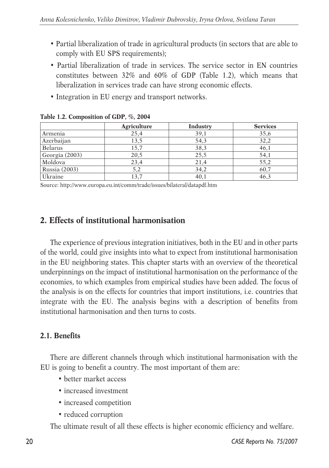- Partial liberalization of trade in agricultural products (in sectors that are able to comply with EU SPS requirements);
- Partial liberalization of trade in services. The service sector in EN countries constitutes between 32% and 60% of GDP (Table 1.2), which means that liberalization in services trade can have strong economic effects.
- Integration in EU energy and transport networks.

|                      | Agriculture | Industry | <b>Services</b> |
|----------------------|-------------|----------|-----------------|
| Armenia              | 25,4        | 39,1     | 35,6            |
| Azerbaijan           | 13,5        | 54,3     | 32,2            |
| Belarus              | 15,7        | 38,3     | 46,1            |
| Georgia (2003)       | 20,5        | 25,5     | 54,1            |
| Moldova              | 23,4        | 21,4     | 55,2            |
| <b>Russia</b> (2003) | 5,2         | 34,2     | 60,7            |
| Ukraine              | 13,7        | 40,1     | 46.3            |

|  | Table 1.2. Composition of GDP, %, 2004 |  |  |
|--|----------------------------------------|--|--|
|  |                                        |  |  |

Source: http://www.europa.eu.int/comm/trade/issues/bilateral/datapdf.htm

# **2. Effects of institutional harmonisation**

The experience of previous integration initiatives, both in the EU and in other parts of the world, could give insights into what to expect from institutional harmonisation in the EU neighboring states. This chapter starts with an overview of the theoretical underpinnings on the impact of institutional harmonisation on the performance of the economies, to which examples from empirical studies have been added. The focus of the analysis is on the effects for countries that import institutions, i.e. countries that integrate with the EU. The analysis begins with a description of benefits from institutional harmonisation and then turns to costs.

# **2.1. Benefits**

There are different channels through which institutional harmonisation with the EU is going to benefit a country. The most important of them are:

- better market access
- increased investment
- increased competition
- reduced corruption

The ultimate result of all these effects is higher economic efficiency and welfare.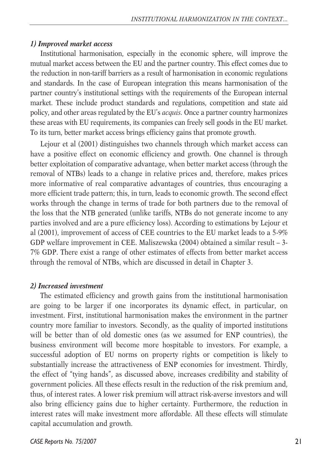#### *1) Improved market access*

Institutional harmonisation, especially in the economic sphere, will improve the mutual market access between the EU and the partner country. This effect comes due to the reduction in non-tariff barriers as a result of harmonisation in economic regulations and standards. In the case of European integration this means harmonisation of the partner country's institutional settings with the requirements of the European internal market. These include product standards and regulations, competition and state aid policy, and other areas regulated by the EU's *acquis.* Once a partner country harmonizes these areas with EU requirements, its companies can freely sell goods in the EU market. To its turn, better market access brings efficiency gains that promote growth.

Lejour et al (2001) distinguishes two channels through which market access can have a positive effect on economic efficiency and growth. One channel is through better exploitation of comparative advantage, when better market access (through the removal of NTBs) leads to a change in relative prices and, therefore, makes prices more informative of real comparative advantages of countries, thus encouraging a more efficient trade pattern; this, in turn, leads to economic growth. The second effect works through the change in terms of trade for both partners due to the removal of the loss that the NTB generated (unlike tariffs, NTBs do not generate income to any parties involved and are a pure efficiency loss). According to estimations by Lejour et al (2001), improvement of access of CEE countries to the EU market leads to a 5-9% GDP welfare improvement in CEE. Maliszewska (2004) obtained a similar result – 3- 7% GDP. There exist a range of other estimates of effects from better market access through the removal of NTBs, which are discussed in detail in Chapter 3.

#### *2) Increased investment*

The estimated efficiency and growth gains from the institutional harmonisation are going to be larger if one incorporates its dynamic effect, in particular, on investment. First, institutional harmonisation makes the environment in the partner country more familiar to investors. Secondly, as the quality of imported institutions will be better than of old domestic ones (as we assumed for ENP countries), the business environment will become more hospitable to investors. For example, a successful adoption of EU norms on property rights or competition is likely to substantially increase the attractiveness of ENP economies for investment. Thirdly, the effect of "tying hands", as discussed above, increases credibility and stability of government policies. All these effects result in the reduction of the risk premium and, thus, of interest rates. A lower risk premium will attract risk-averse investors and will also bring efficiency gains due to higher certainty. Furthermore, the reduction in interest rates will make investment more affordable. All these effects will stimulate capital accumulation and growth.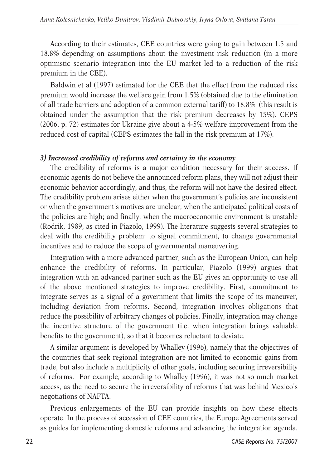According to their estimates, CEE countries were going to gain between 1.5 and 18.8% depending on assumptions about the investment risk reduction (in a more optimistic scenario integration into the EU market led to a reduction of the risk premium in the CEE).

Baldwin et al (1997) estimated for the CEE that the effect from the reduced risk premium would increase the welfare gain from 1.5% (obtained due to the elimination of all trade barriers and adoption of a common external tariff) to 18.8% (this result is obtained under the assumption that the risk premium decreases by 15%). CEPS (2006, p. 72) estimates for Ukraine give about a 4-5% welfare improvement from the reduced cost of capital (CEPS estimates the fall in the risk premium at 17%).

#### *3) Increased credibility of reforms and certainty in the economy*

The credibility of reforms is a major condition necessary for their success. If economic agents do not believe the announced reform plans, they will not adjust their economic behavior accordingly, and thus, the reform will not have the desired effect. The credibility problem arises either when the government's policies are inconsistent or when the government's motives are unclear; when the anticipated political costs of the policies are high; and finally, when the macroeconomic environment is unstable (Rodrik, 1989, as cited in Piazolo, 1999). The literature suggests several strategies to deal with the credibility problem: to signal commitment, to change governmental incentives and to reduce the scope of governmental maneuvering.

Integration with a more advanced partner, such as the European Union, can help enhance the credibility of reforms. In particular, Piazolo (1999) argues that integration with an advanced partner such as the EU gives an opportunity to use all of the above mentioned strategies to improve credibility. First, commitment to integrate serves as a signal of a government that limits the scope of its maneuver, including deviation from reforms. Second, integration involves obligations that reduce the possibility of arbitrary changes of policies. Finally, integration may change the incentive structure of the government (i.e. when integration brings valuable benefits to the government), so that it becomes reluctant to deviate.

A similar argument is developed by Whalley (1996), namely that the objectives of the countries that seek regional integration are not limited to economic gains from trade, but also include a multiplicity of other goals, including securing irreversibility of reforms. For example, according to Whalley (1996), it was not so much market access, as the need to secure the irreversibility of reforms that was behind Mexico's negotiations of NAFTA.

Previous enlargements of the EU can provide insights on how these effects operate. In the process of accession of CEE countries, the Europe Agreements served as guides for implementing domestic reforms and advancing the integration agenda.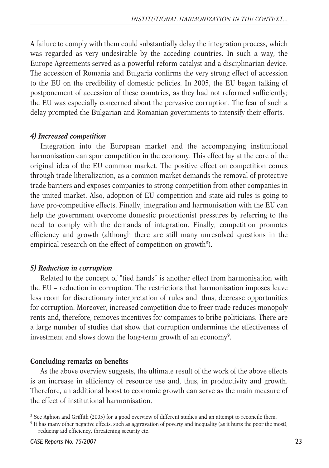A failure to comply with them could substantially delay the integration process, which was regarded as very undesirable by the acceding countries. In such a way, the Europe Agreements served as a powerful reform catalyst and a disciplinarian device. The accession of Romania and Bulgaria confirms the very strong effect of accession to the EU on the credibility of domestic policies. In 2005, the EU began talking of postponement of accession of these countries, as they had not reformed sufficiently; the EU was especially concerned about the pervasive corruption. The fear of such a delay prompted the Bulgarian and Romanian governments to intensify their efforts.

#### *4) Increased competition*

Integration into the European market and the accompanying institutional harmonisation can spur competition in the economy. This effect lay at the core of the original idea of the EU common market. The positive effect on competition comes through trade liberalization, as a common market demands the removal of protective trade barriers and exposes companies to strong competition from other companies in the united market. Also, adoption of EU competition and state aid rules is going to have pro-competitive effects. Finally, integration and harmonisation with the EU can help the government overcome domestic protectionist pressures by referring to the need to comply with the demands of integration. Finally, competition promotes efficiency and growth (although there are still many unresolved questions in the empirical research on the effect of competition on growth<sup>8</sup>).

#### *5) Reduction in corruption*

Related to the concept of "tied hands" is another effect from harmonisation with the EU – reduction in corruption. The restrictions that harmonisation imposes leave less room for discretionary interpretation of rules and, thus, decrease opportunities for corruption. Moreover, increased competition due to freer trade reduces monopoly rents and, therefore, removes incentives for companies to bribe politicians. There are a large number of studies that show that corruption undermines the effectiveness of investment and slows down the long-term growth of an economy<sup>9</sup>.

#### **Concluding remarks on benefits**

As the above overview suggests, the ultimate result of the work of the above effects is an increase in efficiency of resource use and, thus, in productivity and growth. Therefore, an additional boost to economic growth can serve as the main measure of the effect of institutional harmonisation.

<sup>&</sup>lt;sup>8</sup> See Aghion and Griffith (2005) for a good overview of different studies and an attempt to reconcile them.

<sup>9</sup> It has many other negative effects, such as aggravation of poverty and inequality (as it hurts the poor the most), reducing aid efficiency, threatening security etc.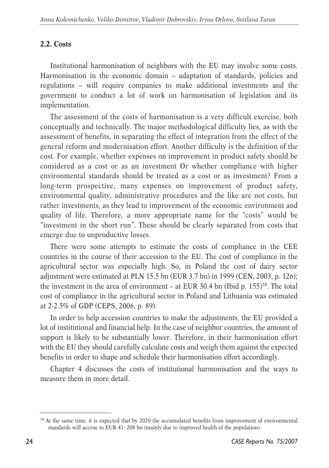# **2.2. Costs**

Institutional harmonisation of neighbors with the EU may involve some costs. Harmonisation in the economic domain – adaptation of standards, policies and regulations – will require companies to make additional investments and the government to conduct a lot of work on harmonisation of legislation and its implementation.

The assessment of the costs of harmonisation is a very difficult exercise, both conceptually and technically. The major methodological difficulty lies, as with the assessment of benefits, in separating the effect of integration from the effect of the general reform and modernisation effort. Another difficulty is the definition of the cost. For example, whether expenses on improvement in product safety should be considered as a cost or as an investment Or whether compliance with higher environmental standards should be treated as a cost or as investment? From a long-term prospective, many expenses on improvement of product safety, environmental quality, administrative procedures and the like are not costs, but rather investments, as they lead to improvement of the economic environment and quality of life. Therefore, a more appropriate name for the "costs" would be "investment in the short run". These should be clearly separated from costs that emerge due to unproductive losses.

There were some attempts to estimate the costs of compliance in the CEE countries in the course of their accession to the EU. The cost of compliance in the agricultural sector was especially high. So, in Poland the cost of dairy sector adjustment were estimated at PLN 15.5 bn (EUR 3.7 bn) in 1999 (CEN, 2003, p. 126); the investment in the area of environment – at EUR 30.4 bn (Ibid p.  $155$ )<sup>10</sup>. The total cost of compliance in the agricultural sector in Poland and Lithuania was estimated at 2-2.5% of GDP (CEPS, 2006, p. 89).

In order to help accession countries to make the adjustments, the EU provided a lot of institutional and financial help. In the case of neighbor countries, the amount of support is likely to be substantially lower. Therefore, in their harmonisation effort with the EU they should carefully calculate costs and weigh them against the expected benefits in order to shape and schedule their harmonisation effort accordingly.

Chapter 4 discusses the costs of institutional harmonisation and the ways to measure them in more detail.

<sup>&</sup>lt;sup>10</sup> At the same time, it is expected that by 2020 the accumulated benefits from improvement of environmental standards will accrue to EUR 41- 208 bn (mainly due to improved health of the population).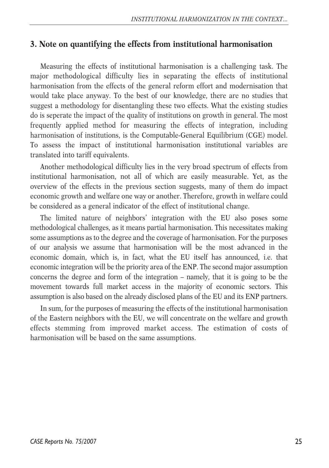# **3. Note on quantifying the effects from institutional harmonisation**

Measuring the effects of institutional harmonisation is a challenging task. The major methodological difficulty lies in separating the effects of institutional harmonisation from the effects of the general reform effort and modernisation that would take place anyway. To the best of our knowledge, there are no studies that suggest a methodology for disentangling these two effects. What the existing studies do is seperate the impact of the quality of institutions on growth in general. The most frequently applied method for measuring the effects of integration, including harmonisation of institutions, is the Computable-General Equilibrium (CGE) model. To assess the impact of institutional harmonisation institutional variables are translated into tariff equivalents.

Another methodological difficulty lies in the very broad spectrum of effects from institutional harmonisation, not all of which are easily measurable. Yet, as the overview of the effects in the previous section suggests, many of them do impact economic growth and welfare one way or another. Therefore, growth in welfare could be considered as a general indicator of the effect of institutional change.

The limited nature of neighbors' integration with the EU also poses some methodological challenges, as it means partial harmonisation. This necessitates making some assumptions as to the degree and the coverage of harmonisation. For the purposes of our analysis we assume that harmonisation will be the most advanced in the economic domain, which is, in fact, what the EU itself has announced, i.e. that economic integration will be the priority area of the ENP. The second major assumption concerns the degree and form of the integration – namely, that it is going to be the movement towards full market access in the majority of economic sectors. This assumption is also based on the already disclosed plans of the EU and its ENP partners.

In sum, for the purposes of measuring the effects of the institutional harmonisation of the Eastern neighbors with the EU, we will concentrate on the welfare and growth effects stemming from improved market access. The estimation of costs of harmonisation will be based on the same assumptions.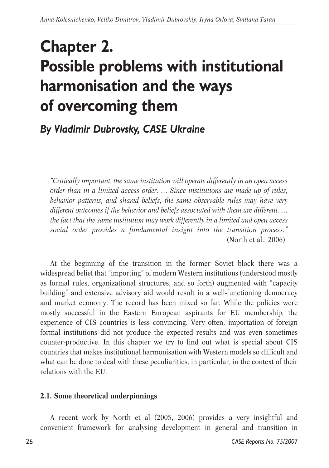# **Chapter 2. Possible problems with institutional harmonisation and the ways of overcoming them**

*By Vladimir Dubrovsky, CASE Ukraine*

*"Critically important, the same institution will operate differently in an open access order than in a limited access order. … Since institutions are made up of rules, behavior patterns, and shared beliefs, the same observable rules may have very different outcomes if the behavior and beliefs associated with them are different. … the fact that the same institution may work differently in a limited and open access social order provides a fundamental insight into the transition process."* (North et al., 2006).

At the beginning of the transition in the former Soviet block there was a widespread belief that "importing" of modern Western institutions (understood mostly as formal rules, organizational structures, and so forth) augmented with "capacity building" and extensive advisory aid would result in a well-functioning democracy and market economy. The record has been mixed so far. While the policies were mostly successful in the Eastern European aspirants for EU membership, the experience of CIS countries is less convincing. Very often, importation of foreign formal institutions did not produce the expected results and was even sometimes counter-productive. In this chapter we try to find out what is special about CIS countries that makes institutional harmonisation with Western models so difficult and what can be done to deal with these peculiarities, in particular, in the context of their relations with the EU.

# **2.1. Some theoretical underpinnings**

A recent work by North et al (2005, 2006) provides a very insightful and convenient framework for analysing development in general and transition in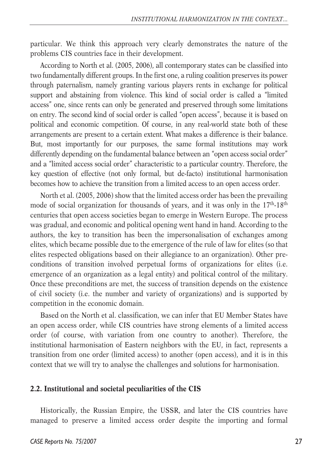particular. We think this approach very clearly demonstrates the nature of the problems CIS countries face in their development.

According to North et al. (2005, 2006), all contemporary states can be classified into two fundamentally different groups. In the first one, a ruling coalition preserves its power through paternalism, namely granting various players rents in exchange for political support and abstaining from violence. This kind of social order is called a "limited access" one, since rents can only be generated and preserved through some limitations on entry. The second kind of social order is called "open access", because it is based on political and economic competition. Of course, in any real-world state both of these arrangements are present to a certain extent. What makes a difference is their balance. But, most importantly for our purposes, the same formal institutions may work differently depending on the fundamental balance between an "open access social order" and a "limited access social order" characteristic to a particular country. Therefore, the key question of effective (not only formal, but de-facto) institutional harmonisation becomes how to achieve the transition from a limited access to an open access order.

North et al. (2005, 2006) show that the limited access order has been the prevailing mode of social organization for thousands of years, and it was only in the  $17<sup>th</sup>$ -18<sup>th</sup> centuries that open access societies began to emerge in Western Europe. The process was gradual, and economic and political opening went hand in hand. According to the authors, the key to transition has been the impersonalisation of exchanges among elites, which became possible due to the emergence of the rule of law for elites (so that elites respected obligations based on their allegiance to an organization). Other preconditions of transition involved perpetual forms of organizations for elites (i.e. emergence of an organization as a legal entity) and political control of the military. Once these preconditions are met, the success of transition depends on the existence of civil society (i.e. the number and variety of organizations) and is supported by competition in the economic domain.

Based on the North et al. classification, we can infer that EU Member States have an open access order, while CIS countries have strong elements of a limited access order (of course, with variation from one country to another). Therefore, the institutional harmonisation of Eastern neighbors with the EU, in fact, represents a transition from one order (limited access) to another (open access), and it is in this context that we will try to analyse the challenges and solutions for harmonisation.

#### **2.2. Institutional and societal peculiarities of the CIS**

Historically, the Russian Empire, the USSR, and later the CIS countries have managed to preserve a limited access order despite the importing and formal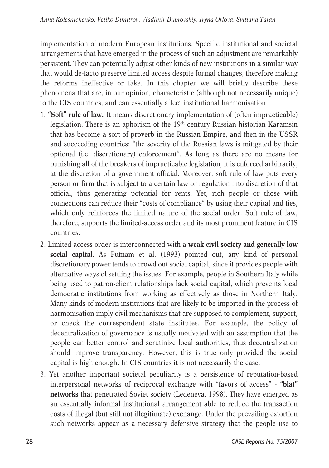implementation of modern European institutions. Specific institutional and societal arrangements that have emerged in the process of such an adjustment are remarkably persistent. They can potentially adjust other kinds of new institutions in a similar way that would de-facto preserve limited access despite formal changes, therefore making the reforms ineffective or fake. In this chapter we will briefly describe these phenomena that are, in our opinion, characteristic (although not necessarily unique) to the CIS countries, and can essentially affect institutional harmonisation

- 1. **"Soft" rule of law.** It means discretionary implementation of (often impracticable) legislation. There is an aphorism of the 19<sup>th</sup> century Russian historian Karamsin that has become a sort of proverb in the Russian Empire, and then in the USSR and succeeding countries: "the severity of the Russian laws is mitigated by their optional (i.e. discretionary) enforcement". As long as there are no means for punishing all of the breakers of impracticable legislation, it is enforced arbitrarily, at the discretion of a government official. Moreover, soft rule of law puts every person or firm that is subject to a certain law or regulation into discretion of that official, thus generating potential for rents. Yet, rich people or those with connections can reduce their "costs of compliance" by using their capital and ties, which only reinforces the limited nature of the social order. Soft rule of law, therefore, supports the limited-access order and its most prominent feature in CIS countries.
- 2. Limited access order is interconnected with a **weak civil society and generally low social capital.** As Putnam et al. (1993) pointed out, any kind of personal discretionary power tends to crowd out social capital, since it provides people with alternative ways of settling the issues. For example, people in Southern Italy while being used to patron-client relationships lack social capital, which prevents local democratic institutions from working as effectively as those in Northern Italy. Many kinds of modern institutions that are likely to be imported in the process of harmonisation imply civil mechanisms that are supposed to complement, support, or check the correspondent state institutes. For example, the policy of decentralization of governance is usually motivated with an assumption that the people can better control and scrutinize local authorities, thus decentralization should improve transparency. However, this is true only provided the social capital is high enough. In CIS countries it is not necessarily the case.
- 3. Yet another important societal peculiarity is a persistence of reputation-based interpersonal networks of reciprocal exchange with "favors of access" - **"blat" networks** that penetrated Soviet society (Ledeneva, 1998). They have emerged as an essentially informal institutional arrangement able to reduce the transaction costs of illegal (but still not illegitimate) exchange. Under the prevailing extortion such networks appear as a necessary defensive strategy that the people use to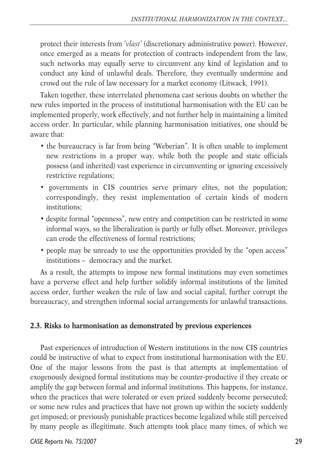protect their interests from '*vlast'* (discretionary administrative power). However, once emerged as a means for protection of contracts independent from the law, such networks may equally serve to circumvent any kind of legislation and to conduct any kind of unlawful deals. Therefore, they eventually undermine and crowd out the rule of law necessary for a market economy (Litwack, 1991).

Taken together, these interrelated phenomena cast serious doubts on whether the new rules imported in the process of institutional harmonisation with the EU can be implemented properly, work effectively, and not further help in maintaining a limited access order. In particular, while planning harmonisation initiatives, one should be aware that:

- the bureaucracy is far from being "Weberian". It is often unable to implement new restrictions in a proper way, while both the people and state officials possess (and inherited) vast experience in circumventing or ignoring excessively restrictive regulations;
- governments in CIS countries serve primary elites, not the population; correspondingly, they resist implementation of certain kinds of modern institutions;
- despite formal "openness", new entry and competition can be restricted in some informal ways, so the liberalization is partly or fully offset. Moreover, privileges can erode the effectiveness of formal restrictions;
- people may be unready to use the opportunities provided by the "open access" institutions – democracy and the market.

As a result, the attempts to impose new formal institutions may even sometimes have a perverse effect and help further solidify informal institutions of the limited access order, further weaken the rule of law and social capital, further corrupt the bureaucracy, and strengthen informal social arrangements for unlawful transactions.

### **2.3. Risks to harmonisation as demonstrated by previous experiences**

Past experiences of introduction of Western institutions in the now CIS countries could be instructive of what to expect from institutional harmonisation with the EU. One of the major lessons from the past is that attempts at implementation of exogenously designed formal institutions may be counter-productive if they create or amplify the gap between formal and informal institutions. This happens, for instance, when the practices that were tolerated or even prized suddenly become persecuted; or some new rules and practices that have not grown up within the society suddenly get imposed; or previously punishable practices become legalized while still perceived by many people as illegitimate. Such attempts took place many times, of which we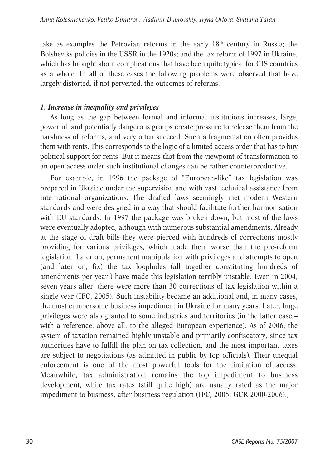take as examples the Petrovian reforms in the early 18th century in Russia; the Bolsheviks policies in the USSR in the 1920s; and the tax reform of 1997 in Ukraine, which has brought about complications that have been quite typical for CIS countries as a whole. In all of these cases the following problems were observed that have largely distorted, if not perverted, the outcomes of reforms.

# *1. Increase in inequality and privileges*

As long as the gap between formal and informal institutions increases, large, powerful, and potentially dangerous groups create pressure to release them from the harshness of reforms, and very often succeed. Such a fragmentation often provides them with rents. This corresponds to the logic of a limited access order that has to buy political support for rents. But it means that from the viewpoint of transformation to an open access order such institutional changes can be rather counterproductive.

For example, in 1996 the package of "European-like" tax legislation was prepared in Ukraine under the supervision and with vast technical assistance from international organizations. The drafted laws seemingly met modern Western standards and were designed in a way that should facilitate further harmonisation with EU standards. In 1997 the package was broken down, but most of the laws were eventually adopted, although with numerous substantial amendments. Already at the stage of draft bills they were pierced with hundreds of corrections mostly providing for various privileges, which made them worse than the pre-reform legislation. Later on, permanent manipulation with privileges and attempts to open (and later on, fix) the tax loopholes (all together constituting hundreds of amendments per year!) have made this legislation terribly unstable. Even in 2004, seven years after, there were more than 30 corrections of tax legislation within a single year (IFC, 2005). Such instability became an additional and, in many cases, the most cumbersome business impediment in Ukraine for many years. Later, huge privileges were also granted to some industries and territories (in the latter case – with a reference, above all, to the alleged European experience). As of 2006, the system of taxation remained highly unstable and primarily confiscatory, since tax authorities have to fulfill the plan on tax collection, and the most important taxes are subject to negotiations (as admitted in public by top officials). Their unequal enforcement is one of the most powerful tools for the limitation of access. Meanwhile, tax administration remains the top impediment to business development, while tax rates (still quite high) are usually rated as the major impediment to business, after business regulation (IFC, 2005; GCR 2000-2006).,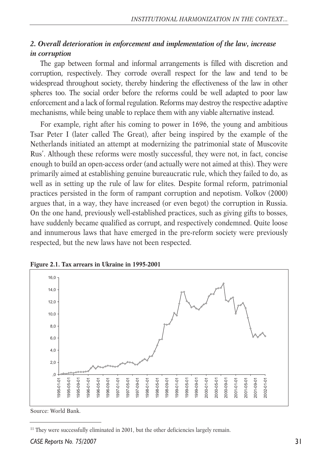# *2. Overall deterioration in enforcement and implementation of the law, increase in corruption*

The gap between formal and informal arrangements is filled with discretion and corruption, respectively. They corrode overall respect for the law and tend to be widespread throughout society, thereby hindering the effectiveness of the law in other spheres too. The social order before the reforms could be well adapted to poor law enforcement and a lack of formal regulation. Reforms may destroy the respective adaptive mechanisms, while being unable to replace them with any viable alternative instead.

For example, right after his coming to power in 1696, the young and ambitious Tsar Peter I (later called The Great), after being inspired by the example of the Netherlands initiated an attempt at modernizing the patrimonial state of Muscovite Rus'. Although these reforms were mostly successful, they were not, in fact, concise enough to build an open-access order (and actually were not aimed at this). They were primarily aimed at establishing genuine bureaucratic rule, which they failed to do, as well as in setting up the rule of law for elites. Despite formal reform, patrimonial practices persisted in the form of rampant corruption and nepotism. Volkov (2000) argues that, in a way, they have increased (or even begot) the corruption in Russia. On the one hand, previously well-established practices, such as giving gifts to bosses, have suddenly became qualified as corrupt, and respectively condemned. Quite loose and innumerous laws that have emerged in the pre-reform society were previously respected, but the new laws have not been respected.





Source: World Bank.

<sup>&</sup>lt;sup>11</sup> They were successfully eliminated in 2001, but the other deficiencies largely remain.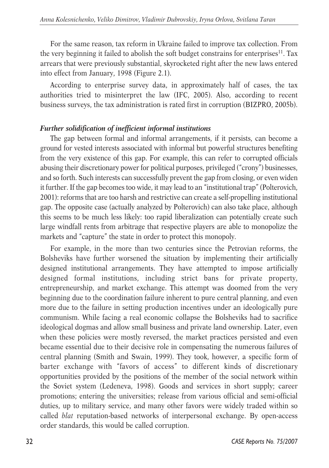For the same reason, tax reform in Ukraine failed to improve tax collection. From the very beginning it failed to abolish the soft budget constrains for enterprises<sup>11</sup>. Tax arrears that were previously substantial, skyrocketed right after the new laws entered into effect from January, 1998 (Figure 2.1).

According to enterprise survey data, in approximately half of cases, the tax authorities tried to misinterpret the law (IFC, 2005). Also, according to recent business surveys, the tax administration is rated first in corruption (BIZPRO, 2005b).

# *Further solidification of inefficient informal institutions*

The gap between formal and informal arrangements, if it persists, can become a ground for vested interests associated with informal but powerful structures benefiting from the very existence of this gap. For example, this can refer to corrupted officials abusing their discretionary power for political purposes, privileged ("crony") businesses, and so forth. Such interests can successfully prevent the gap from closing, or even widen it further. If the gap becomes too wide, it may lead to an "institutional trap" (Polterovich, 2001): reforms that are too harsh and restrictive can create a self-propelling institutional gap. The opposite case (actually analyzed by Polterovich) can also take place, although this seems to be much less likely: too rapid liberalization can potentially create such large windfall rents from arbitrage that respective players are able to monopolize the markets and "capture" the state in order to protect this monopoly.

For example, in the more than two centuries since the Petrovian reforms, the Bolsheviks have further worsened the situation by implementing their artificially designed institutional arrangements. They have attempted to impose artificially designed formal institutions, including strict bans for private property, entrepreneurship, and market exchange. This attempt was doomed from the very beginning due to the coordination failure inherent to pure central planning, and even more due to the failure in setting production incentives under an ideologically pure communism. While facing a real economic collapse the Bolsheviks had to sacrifice ideological dogmas and allow small business and private land ownership. Later, even when these policies were mostly reversed, the market practices persisted and even became essential due to their decisive role in compensating the numerous failures of central planning (Smith and Swain, 1999). They took, however, a specific form of barter exchange with "favors of access" to different kinds of discretionary opportunities provided by the positions of the member of the social network within the Soviet system (Ledeneva, 1998). Goods and services in short supply; career promotions; entering the universities; release from various official and semi-official duties, up to military service, and many other favors were widely traded within so called *blat* reputation-based networks of interpersonal exchange. By open-access order standards, this would be called corruption.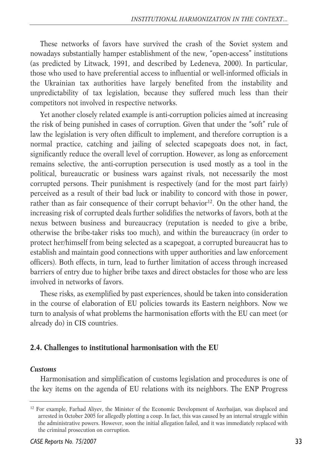These networks of favors have survived the crash of the Soviet system and nowadays substantially hamper establishment of the new, "open-access" institutions (as predicted by Litwack, 1991, and described by Ledeneva, 2000). In particular, those who used to have preferential access to influential or well-informed officials in the Ukrainian tax authorities have largely benefited from the instability and unpredictability of tax legislation, because they suffered much less than their competitors not involved in respective networks.

Yet another closely related example is anti-corruption policies aimed at increasing the risk of being punished in cases of corruption. Given that under the "soft" rule of law the legislation is very often difficult to implement, and therefore corruption is a normal practice, catching and jailing of selected scapegoats does not, in fact, significantly reduce the overall level of corruption. However, as long as enforcement remains selective, the anti-corruption persecution is used mostly as a tool in the political, bureaucratic or business wars against rivals, not necessarily the most corrupted persons. Their punishment is respectively (and for the most part fairly) perceived as a result of their bad luck or inability to concord with those in power, rather than as fair consequence of their corrupt behavior<sup>12</sup>. On the other hand, the increasing risk of corrupted deals further solidifies the networks of favors, both at the nexus between business and bureaucracy (reputation is needed to give a bribe, otherwise the bribe-taker risks too much), and within the bureaucracy (in order to protect her/himself from being selected as a scapegoat, a corrupted bureaucrat has to establish and maintain good connections with upper authorities and law enforcement officers). Both effects, in turn, lead to further limitation of access through increased barriers of entry due to higher bribe taxes and direct obstacles for those who are less involved in networks of favors.

These risks, as exemplified by past experiences, should be taken into consideration in the course of elaboration of EU policies towards its Eastern neighbors. Now we turn to analysis of what problems the harmonisation efforts with the EU can meet (or already do) in CIS countries.

# **2.4. Challenges to institutional harmonisation with the EU**

#### *Customs*

Harmonisation and simplification of customs legislation and procedures is one of the key items on the agenda of EU relations with its neighbors. The ENP Progress

<sup>&</sup>lt;sup>12</sup> For example, Farhad Aliyev, the Minister of the Economic Development of Azerbaijan, was displaced and arrested in October 2005 for allegedly plotting a coup. In fact, this was caused by an internal struggle within the administrative powers. However, soon the initial allegation failed, and it was immediately replaced with the criminal prosecution on corruption.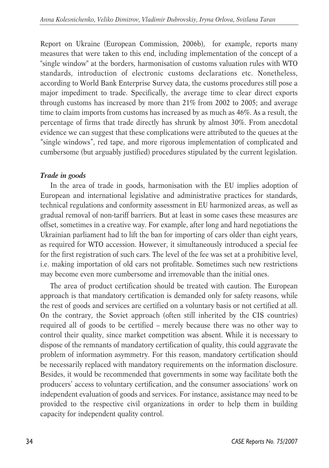Report on Ukraine (European Commission, 2006b), for example, reports many measures that were taken to this end, including implementation of the concept of a "single window" at the borders, harmonisation of customs valuation rules with WTO standards, introduction of electronic customs declarations etc. Nonetheless, according to World Bank Enterprise Survey data, the customs procedures still pose a major impediment to trade. Specifically, the average time to clear direct exports through customs has increased by more than 21% from 2002 to 2005; and average time to claim imports from customs has increased by as much as 46%. As a result, the percentage of firms that trade directly has shrunk by almost 30%. From anecdotal evidence we can suggest that these complications were attributed to the queues at the "single windows", red tape, and more rigorous implementation of complicated and cumbersome (but arguably justified) procedures stipulated by the current legislation.

# *Trade in goods*

In the area of trade in goods, harmonisation with the EU implies adoption of European and international legislative and administrative practices for standards, technical regulations and conformity assessment in EU harmonized areas, as well as gradual removal of non-tariff barriers. But at least in some cases these measures are offset, sometimes in a creative way. For example, after long and hard negotiations the Ukrainian parliament had to lift the ban for importing of cars older than eight years, as required for WTO accession. However, it simultaneously introduced a special fee for the first registration of such cars. The level of the fee was set at a prohibitive level, i.e. making importation of old cars not profitable. Sometimes such new restrictions may become even more cumbersome and irremovable than the initial ones.

The area of product certification should be treated with caution. The European approach is that mandatory certification is demanded only for safety reasons, while the rest of goods and services are certified on a voluntary basis or not certified at all. On the contrary, the Soviet approach (often still inherited by the CIS countries) required all of goods to be certified – merely because there was no other way to control their quality, since market competition was absent. While it is necessary to dispose of the remnants of mandatory certification of quality, this could aggravate the problem of information asymmetry. For this reason, mandatory certification should be necessarily replaced with mandatory requirements on the information disclosure. Besides, it would be recommended that governments in some way facilitate both the producers' access to voluntary certification, and the consumer associations' work on independent evaluation of goods and services. For instance, assistance may need to be provided to the respective civil organizations in order to help them in building capacity for independent quality control.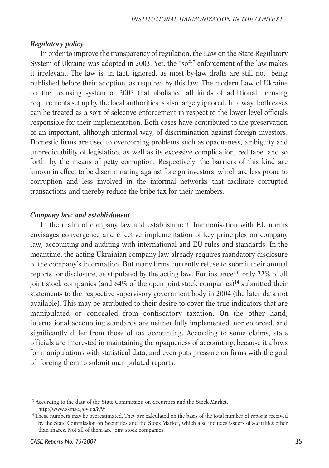#### *Regulatory policy*

In order to improve the transparency of regulation, the Law on the State Regulatory System of Ukraine was adopted in 2003. Yet, the "soft" enforcement of the law makes it irrelevant. The law is, in fact, ignored, as most by-law drafts are still not being published before their adoption, as required by this law. The modern Law of Ukraine on the licensing system of 2005 that abolished all kinds of additional licensing requirements set up by the local authorities is also largely ignored. In a way, both cases can be treated as a sort of selective enforcement in respect to the lower level officials responsible for their implementation. Both cases have contributed to the preservation of an important, although informal way, of discrimination against foreign investors. Domestic firms are used to overcoming problems such as opaqueness, ambiguity and unpredictability of legislation, as well as its excessive complication, red tape, and so forth, by the means of petty corruption. Respectively, the barriers of this kind are known in effect to be discriminating against foreign investors, which are less prone to corruption and less involved in the informal networks that facilitate corrupted transactions and thereby reduce the bribe tax for their members.

#### *Company law and establishment*

In the realm of company law and establishment, harmonisation with EU norms envisages convergence and effective implementation of key principles on company law, accounting and auditing with international and EU rules and standards. In the meantime, the acting Ukrainian company law already requires mandatory disclosure of the company's information. But many firms currently refuse to submit their annual reports for disclosure, as stipulated by the acting law. For instance<sup>13</sup>, only 22% of all joint stock companies (and  $64\%$  of the open joint stock companies)<sup>14</sup> submitted their statements to the respective supervisory government body in 2004 (the later data not available). This may be attributed to their desire to cover the true indicators that are manipulated or concealed from confiscatory taxation. On the other hand, international accounting standards are neither fully implemented, nor enforced, and significantly differ from those of tax accounting. According to some claims, state officials are interested in maintaining the opaqueness of accounting, because it allows for manipulations with statistical data, and even puts pressure on firms with the goal of forcing them to submit manipulated reports.

<sup>&</sup>lt;sup>13</sup> According to the data of the State Commission on Securities and the Stock Market, http://www.ssmsc.gov.ua/8/9/

<sup>&</sup>lt;sup>14</sup> These numbers may be overestimated. They are calculated on the basis of the total number of reports received by the State Commission on Securities and the Stock Market, which also includes issuers of securities other than shares. Not all of them are joint stock companies.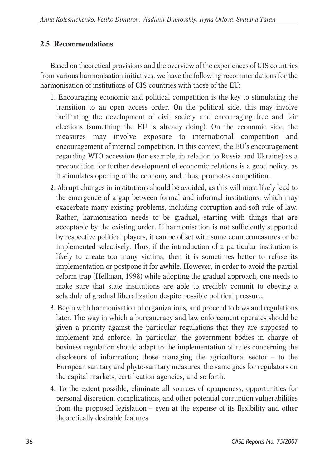# **2.5. Recommendations**

Based on theoretical provisions and the overview of the experiences of CIS countries from various harmonisation initiatives, we have the following recommendations for the harmonisation of institutions of CIS countries with those of the EU:

- 1. Encouraging economic and political competition is the key to stimulating the transition to an open access order. On the political side, this may involve facilitating the development of civil society and encouraging free and fair elections (something the EU is already doing). On the economic side, the measures may involve exposure to international competition and encouragement of internal competition. In this context, the EU's encouragement regarding WTO accession (for example, in relation to Russia and Ukraine) as a precondition for further development of economic relations is a good policy, as it stimulates opening of the economy and, thus, promotes competition.
- 2. Abrupt changes in institutions should be avoided, as this will most likely lead to the emergence of a gap between formal and informal institutions, which may exacerbate many existing problems, including corruption and soft rule of law. Rather, harmonisation needs to be gradual, starting with things that are acceptable by the existing order. If harmonisation is not sufficiently supported by respective political players, it can be offset with some countermeasures or be implemented selectively. Thus, if the introduction of a particular institution is likely to create too many victims, then it is sometimes better to refuse its implementation or postpone it for awhile. However, in order to avoid the partial reform trap (Hellman, 1998) while adopting the gradual approach, one needs to make sure that state institutions are able to credibly commit to obeying a schedule of gradual liberalization despite possible political pressure.
- 3. Begin with harmonisation of organizations, and proceed to laws and regulations later. The way in which a bureaucracy and law enforcement operates should be given a priority against the particular regulations that they are supposed to implement and enforce. In particular, the government bodies in charge of business regulation should adapt to the implementation of rules concerning the disclosure of information; those managing the agricultural sector – to the European sanitary and phyto-sanitary measures; the same goes for regulators on the capital markets, certification agencies, and so forth.
- 4. To the extent possible, eliminate all sources of opaqueness, opportunities for personal discretion, complications, and other potential corruption vulnerabilities from the proposed legislation – even at the expense of its flexibility and other theoretically desirable features.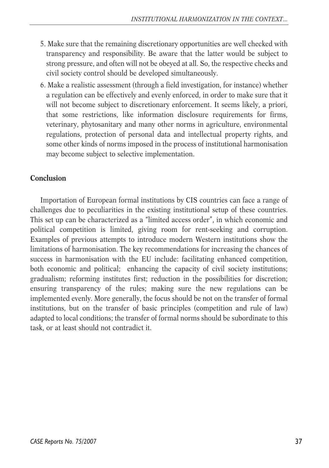- 5. Make sure that the remaining discretionary opportunities are well checked with transparency and responsibility. Be aware that the latter would be subject to strong pressure, and often will not be obeyed at all. So, the respective checks and civil society control should be developed simultaneously.
- 6. Make a realistic assessment (through a field investigation, for instance) whether a regulation can be effectively and evenly enforced, in order to make sure that it will not become subject to discretionary enforcement. It seems likely, a priori, that some restrictions, like information disclosure requirements for firms, veterinary, phytosanitary and many other norms in agriculture, environmental regulations, protection of personal data and intellectual property rights, and some other kinds of norms imposed in the process of institutional harmonisation may become subject to selective implementation.

## **Conclusion**

Importation of European formal institutions by CIS countries can face a range of challenges due to peculiarities in the existing institutional setup of these countries. This set up can be characterized as a "limited access order", in which economic and political competition is limited, giving room for rent-seeking and corruption. Examples of previous attempts to introduce modern Western institutions show the limitations of harmonisation. The key recommendations for increasing the chances of success in harmonisation with the EU include: facilitating enhanced competition, both economic and political; enhancing the capacity of civil society institutions; gradualism; reforming institutes first; reduction in the possibilities for discretion; ensuring transparency of the rules; making sure the new regulations can be implemented evenly. More generally, the focus should be not on the transfer of formal institutions, but on the transfer of basic principles (competition and rule of law) adapted to local conditions; the transfer of formal norms should be subordinate to this task, or at least should not contradict it.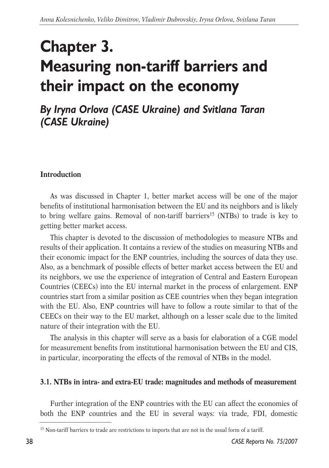# **Chapter 3. Measuring non-tariff barriers and their impact on the economy**

*By Iryna Orlova (CASE Ukraine) and Svitlana Taran (CASE Ukraine)*

## **Introduction**

As was discussed in Chapter 1, better market access will be one of the major benefits of institutional harmonisation between the EU and its neighbors and is likely to bring welfare gains. Removal of non-tariff barriers<sup>15</sup> (NTBs) to trade is key to getting better market access.

This chapter is devoted to the discussion of methodologies to measure NTBs and results of their application. It contains a review of the studies on measuring NTBs and their economic impact for the ENP countries, including the sources of data they use. Also, as a benchmark of possible effects of better market access between the EU and its neighbors, we use the experience of integration of Central and Eastern European Countries (CEECs) into the EU internal market in the process of enlargement. ENP countries start from a similar position as CEE countries when they began integration with the EU. Also, ENP countries will have to follow a route similar to that of the CEECs on their way to the EU market, although on a lesser scale due to the limited nature of their integration with the EU.

The analysis in this chapter will serve as a basis for elaboration of a CGE model for measurement benefits from institutional harmonisation between the EU and CIS, in particular, incorporating the effects of the removal of NTBs in the model.

#### **3.1. NTBs in intra- and extra-EU trade: magnitudes and methods of measurement**

Further integration of the ENP countries with the EU can affect the economies of both the ENP countries and the EU in several ways: via trade, FDI, domestic

<sup>&</sup>lt;sup>15</sup> Non-tariff barriers to trade are restrictions to imports that are not in the usual form of a tariff.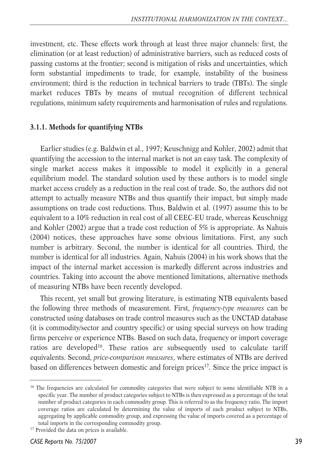investment, etc. These effects work through at least three major channels: first, the elimination (or at least reduction) of administrative barriers, such as reduced costs of passing customs at the frontier; second is mitigation of risks and uncertainties, which form substantial impediments to trade, for example, instability of the business environment; third is the reduction in technical barriers to trade (TBTs). The single market reduces TBTs by means of mutual recognition of different technical regulations, minimum safety requirements and harmonisation of rules and regulations.

#### **3.1.1. Methods for quantifying NTBs**

Earlier studies (e.g. Baldwin et al., 1997; Keuschnigg and Kohler, 2002) admit that quantifying the accession to the internal market is not an easy task. The complexity of single market access makes it impossible to model it explicitly in a general equilibrium model. The standard solution used by these authors is to model single market access crudely as a reduction in the real cost of trade. So, the authors did not attempt to actually measure NTBs and thus quantify their impact, but simply made assumptions on trade cost reductions. Thus, Baldwin et al. (1997) assume this to be equivalent to a 10% reduction in real cost of all CEEC-EU trade, whereas Keuschnigg and Kohler (2002) argue that a trade cost reduction of 5% is appropriate. As Nahuis (2004) notices, these approaches have some obvious limitations. First, any such number is arbitrary. Second, the number is identical for all countries. Third, the number is identical for all industries. Again, Nahuis (2004) in his work shows that the impact of the internal market accession is markedly different across industries and countries. Taking into account the above mentioned limitations, alternative methods of measuring NTBs have been recently developed.

This recent, yet small but growing literature, is estimating NTB equivalents based the following three methods of measurement. First, *frequency-type measures* can be constructed using databases on trade control measures such as the UNCTAD database (it is commodity/sector and country specific) or using special surveys on how trading firms perceive or experience NTBs. Based on such data, frequency or import coverage ratios are developed<sup>16</sup>. These ratios are subsequently used to calculate tariff equivalents. Second, *price-comparison measures*, where estimates of NTBs are derived based on differences between domestic and foreign prices<sup>17</sup>. Since the price impact is

<sup>&</sup>lt;sup>16</sup> The frequencies are calculated for commodity categories that were subject to some identifiable NTB in a specific year. The number of product categories subject to NTBs is then expressed as a percentage of the total number of product categories in each commodity group. This is referred to as the frequency ratio. The import coverage ratios are calculated by determining the value of imports of each product subject to NTBs, aggregating by applicable commodity group, and expressing the value of imports covered as a percentage of total imports in the corresponding commodity group.

<sup>&</sup>lt;sup>17</sup> Provided the data on prices is available.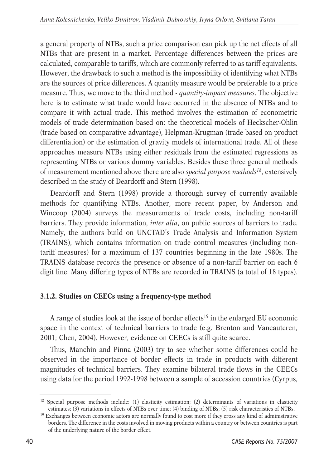a general property of NTBs, such a price comparison can pick up the net effects of all NTBs that are present in a market. Percentage differences between the prices are calculated, comparable to tariffs, which are commonly referred to as tariff equivalents. However, the drawback to such a method is the impossibility of identifying what NTBs are the sources of price differences. A quantity measure would be preferable to a price measure. Thus, we move to the third method - *quantity-impact measures.* The objective here is to estimate what trade would have occurred in the absence of NTBs and to compare it with actual trade. This method involves the estimation of econometric models of trade determination based on: the theoretical models of Heckscher-Ohlin (trade based on comparative advantage), Helpman-Krugman (trade based on product differentiation) or the estimation of gravity models of international trade. All of these approaches measure NTBs using either residuals from the estimated regressions as representing NTBs or various dummy variables. Besides these three general methods of measurement mentioned above there are also *special purpose methods18*, extensively described in the study of Deardorff and Stern (1998).

Deardorff and Stern (1998) provide a thorough survey of currently available methods for quantifying NTBs. Another, more recent paper, by Anderson and Wincoop (2004) surveys the measurements of trade costs, including non-tariff barriers. They provide information, *inter alia*, on public sources of barriers to trade. Namely, the authors build on UNCTAD's Trade Analysis and Information System (TRAINS), which contains information on trade control measures (including nontariff measures) for a maximum of 137 countries beginning in the late 1980s. The TRAINS database records the presence or absence of a non-tariff barrier on each 6 digit line. Many differing types of NTBs are recorded in TRAINS (a total of 18 types).

#### **3.1.2. Studies on CEECs using a frequency-type method**

A range of studies look at the issue of border effects<sup>19</sup> in the enlarged EU economic space in the context of technical barriers to trade (e.g. Brenton and Vancauteren, 2001; Chen, 2004). However, evidence on CEECs is still quite scarce.

Thus, Manchin and Pinna (2003) try to see whether some differences could be observed in the importance of border effects in trade in products with different magnitudes of technical barriers. They examine bilateral trade flows in the CEECs using data for the period 1992-1998 between a sample of accession countries (Cyrpus,

<sup>&</sup>lt;sup>18</sup> Special purpose methods include: (1) elasticity estimation; (2) determinants of variations in elasticity estimates; (3) variations in effects of NTBs over time; (4) binding of NTBs; (5) risk characteristics of NTBs.

<sup>&</sup>lt;sup>19</sup> Exchanges between economic actors are normally found to cost more if they cross any kind of administrative borders. The difference in the costs involved in moving products within a country or between countries is part of the underlying nature of the border effect.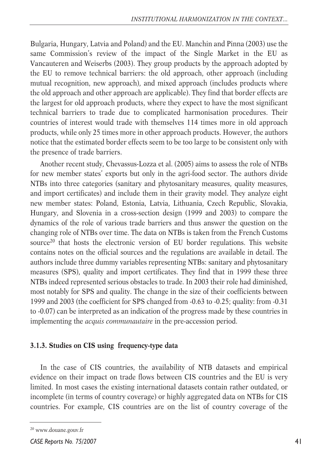Bulgaria, Hungary, Latvia and Poland) and the EU. Manchin and Pinna (2003) use the same Commission's review of the impact of the Single Market in the EU as Vancauteren and Weiserbs (2003). They group products by the approach adopted by the EU to remove technical barriers: the old approach, other approach (including mutual recognition, new approach), and mixed approach (includes products where the old approach and other approach are applicable). They find that border effects are the largest for old approach products, where they expect to have the most significant technical barriers to trade due to complicated harmonisation procedures. Their countries of interest would trade with themselves 114 times more in old approach products, while only 25 times more in other approach products. However, the authors notice that the estimated border effects seem to be too large to be consistent only with the presence of trade barriers.

Another recent study, Chevassus-Lozza et al. (2005) aims to assess the role of NTBs for new member states' exports but only in the agri-food sector. The authors divide NTBs into three categories (sanitary and phytosanitary measures, quality measures, and import certificates) and include them in their gravity model. They analyze eight new member states: Poland, Estonia, Latvia, Lithuania, Czech Republic, Slovakia, Hungary, and Slovenia in a cross-section design (1999 and 2003) to compare the dynamics of the role of various trade barriers and thus answer the question on the changing role of NTBs over time. The data on NTBs is taken from the French Customs source<sup>20</sup> that hosts the electronic version of EU border regulations. This website contains notes on the official sources and the regulations are available in detail. The authors include three dummy variables representing NTBs: sanitary and phytosanitary measures (SPS), quality and import certificates. They find that in 1999 these three NTBs indeed represented serious obstacles to trade. In 2003 their role had diminished, most notably for SPS and quality. The change in the size of their coefficients between 1999 and 2003 (the coefficient for SPS changed from -0.63 to -0.25; quality: from -0.31 to -0.07) can be interpreted as an indication of the progress made by these countries in implementing the *acquis communautaire* in the pre-accession period.

#### **3.1.3. Studies on CIS using frequency-type data**

In the case of CIS countries, the availability of NTB datasets and empirical evidence on their impact on trade flows between CIS countries and the EU is very limited. In most cases the existing international datasets contain rather outdated, or incomplete (in terms of country coverage) or highly aggregated data on NTBs for CIS countries. For example, CIS countries are on the list of country coverage of the

<sup>20</sup> www.douane.gouv.fr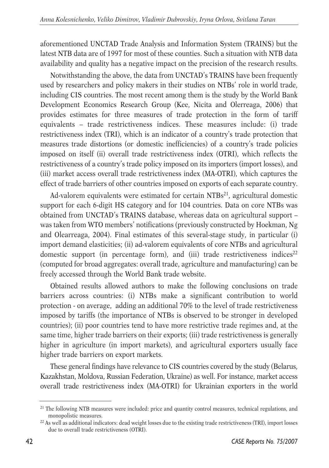aforementioned UNCTAD Trade Analysis and Information System (TRAINS) but the latest NTB data are of 1997 for most of these counties. Such a situation with NTB data availability and quality has a negative impact on the precision of the research results.

Notwithstanding the above, the data from UNCTAD's TRAINS have been frequently used by researchers and policy makers in their studies on NTBs' role in world trade, including CIS countries. The most recent among them is the study by the World Bank Development Economics Research Group (Kee, Nicita and Olerreaga, 2006) that provides estimates for three measures of trade protection in the form of tariff equivalents – trade restrictiveness indices. These measures include: (i) trade restrictiveness index (TRI), which is an indicator of a country's trade protection that measures trade distortions (or domestic inefficiencies) of a country's trade policies imposed on itself (ii) overall trade restrictiveness index (OTRI), which reflects the restrictiveness of a country's trade policy imposed on its importers (import losses), and (iii) market access overall trade restrictiveness index (MA-OTRI), which captures the effect of trade barriers of other countries imposed on exports of each separate country.

Ad-valorem equivalents were estimated for certain  $NTBs<sup>21</sup>$ , agricultural domestic support for each 6-digit HS category and for 104 countries. Data on core NTBs was obtained from UNCTAD's TRAINS database, whereas data on agricultural support – was taken from WTO members' notifications (previously constructed by Hoekman, Ng and Olearreaga, 2004). Final estimates of this several-stage study, in particular (i) import demand elasticities; (ii) ad-valorem equivalents of core NTBs and agricultural domestic support (in percentage form), and (iii) trade restrictiveness indices<sup>22</sup> (computed for broad aggregates: overall trade, agriculture and manufacturing) can be freely accessed through the World Bank trade website.

Obtained results allowed authors to make the following conclusions on trade barriers across countries: (i) NTBs make a significant contribution to world protection - on average, adding an additional 70% to the level of trade restrictiveness imposed by tariffs (the importance of NTBs is observed to be stronger in developed countries); (ii) poor countries tend to have more restrictive trade regimes and, at the same time, higher trade barriers on their exports; (iii) trade restrictiveness is generally higher in agriculture (in import markets), and agricultural exporters usually face higher trade barriers on export markets.

These general findings have relevance to CIS countries covered by the study (Belarus, Kazakhstan, Moldova, Russian Federation, Ukraine) as well. For instance, market access overall trade restrictiveness index (MA-OTRI) for Ukrainian exporters in the world

<sup>&</sup>lt;sup>21</sup> The following NTB measures were included: price and quantity control measures, technical regulations, and monopolistic measures.

<sup>&</sup>lt;sup>22</sup> As well as additional indicators: dead weight losses due to the existing trade restrictiveness (TRI), import losses due to overall trade restrictiveness (OTRI).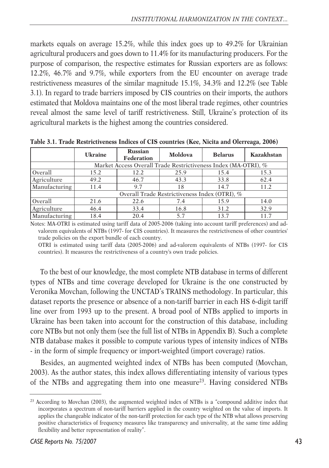markets equals on average 15.2%, while this index goes up to 49.2% for Ukrainian agricultural producers and goes down to 11.4% for its manufacturing producers. For the purpose of comparison, the respective estimates for Russian exporters are as follows: 12.2%, 46.7% and 9.7%, while exporters from the EU encounter on average trade restrictiveness measures of the similar magnitude 15.1%, 34.3% and 12.2% (see Table 3.1). In regard to trade barriers imposed by CIS countries on their imports, the authors estimated that Moldova maintains one of the most liberal trade regimes, other countries reveal almost the same level of tariff restrictiveness. Still, Ukraine's protection of its agricultural markets is the highest among the countries considered.

|               | <b>Ukraine</b>                                | <b>Russian</b><br>Federation | Moldova                                                        | <b>Belarus</b> | Kazakhstan |  |
|---------------|-----------------------------------------------|------------------------------|----------------------------------------------------------------|----------------|------------|--|
|               |                                               |                              | Market Access Overall Trade Restrictiveness Index (MA-OTRI), % |                |            |  |
| Overall       | 15.2                                          | 12.2                         | 25.9                                                           | 15.4           | 15.3       |  |
| Agriculture   | 49.2                                          | 46.7                         | 43.3                                                           | 33.8           | 62.4       |  |
| Manufacturing | 11.4                                          | 9.7                          | 18                                                             | 14.7           | 11.2       |  |
|               | Overall Trade Restrictiveness Index (OTRI), % |                              |                                                                |                |            |  |
| Overall       | 21.6                                          | 22.6                         | 7.4                                                            | 15.9           | 14.0       |  |
| Agriculture   | 46.4                                          | 33.4                         | 16.8                                                           | 31.2           | 32.9       |  |
| Manufacturing | 18.4                                          | 20.4                         | 5.7                                                            | 13.7           | 11.7       |  |

**Table 3.1. Trade Restrictiveness Indices of CIS countries (Kee, Nicita and Olerreaga, 2006)**

Notes: MA-OTRI is estimated using tariff data of 2005-2006 (taking into account tariff preferences) and advalorem equivalents of NTBs (1997- for CIS countries). It measures the restrictiveness of other countries' trade policies on the export bundle of each country.

OTRI is estimated using tariff data (2005-2006) and ad-valorem equivalents of NTBs (1997- for CIS countries). It measures the restrictiveness of a country's own trade policies.

To the best of our knowledge, the most complete NTB database in terms of different types of NTBs and time coverage developed for Ukraine is the one constructed by Veronika Movchan, following the UNCTAD's TRAINS methodology. In particular, this dataset reports the presence or absence of a non-tariff barrier in each HS 6-digit tariff line over from 1993 up to the present. A broad pool of NTBs applied to imports in Ukraine has been taken into account for the construction of this database, including core NTBs but not only them (see the full list of NTBs in Appendix B). Such a complete NTB database makes it possible to compute various types of intensity indices of NTBs - in the form of simple frequency or import-weighted (import coverage) ratios.

Besides, an augmented weighted index of NTBs has been computed (Movchan, 2003). As the author states, this index allows differentiating intensity of various types of the NTBs and aggregating them into one measure23. Having considered NTBs

<sup>&</sup>lt;sup>23</sup> According to Movchan (2003), the augmented weighted index of NTBs is a "compound additive index that incorporates a spectrum of non-tariff barriers applied in the country weighted on the value of imports. It applies the changeable indicator of the non-tariff protection for each type of the NTB what allows preserving positive characteristics of frequency measures like transparency and universality, at the same time adding flexibility and better representation of reality".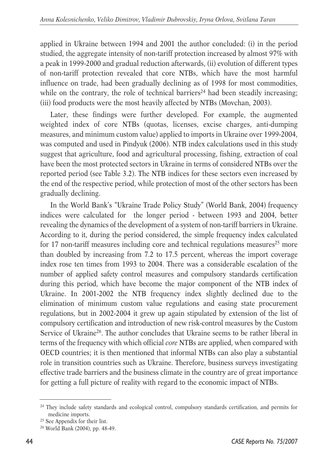applied in Ukraine between 1994 and 2001 the author concluded: (i) in the period studied, the aggregate intensity of non-tariff protection increased by almost 97% with a peak in 1999-2000 and gradual reduction afterwards, (ii) evolution of different types of non-tariff protection revealed that core NTBs, which have the most harmful influence on trade, had been gradually declining as of 1998 for most commodities, while on the contrary, the role of technical barriers<sup>24</sup> had been steadily increasing; (iii) food products were the most heavily affected by NTBs (Movchan, 2003).

Later, these findings were further developed. For example, the augmented weighted index of core NTBs (quotas, licenses, excise charges, anti-dumping measures, and minimum custom value) applied to imports in Ukraine over 1999-2004, was computed and used in Pindyuk (2006). NTB index calculations used in this study suggest that agriculture, food and agricultural processing, fishing, extraction of coal have been the most protected sectors in Ukraine in terms of considered NTBs over the reported period (see Table 3.2). The NTB indices for these sectors even increased by the end of the respective period, while protection of most of the other sectors has been gradually declining.

In the World Bank's "Ukraine Trade Policy Study" (World Bank, 2004) frequency indices were calculated for the longer period - between 1993 and 2004, better revealing the dynamics of the development of a system of non-tariff barriers in Ukraine. According to it, during the period considered, the simple frequency index calculated for 17 non-tariff measures including core and technical regulations measures<sup>25</sup> more than doubled by increasing from 7.2 to 17.5 percent, whereas the import coverage index rose ten times from 1993 to 2004. There was a considerable escalation of the number of applied safety control measures and compulsory standards certification during this period, which have become the major component of the NTB index of Ukraine. In 2001-2002 the NTB frequency index slightly declined due to the elimination of minimum custom value regulations and easing state procurement regulations, but in 2002-2004 it grew up again stipulated by extension of the list of compulsory certification and introduction of new risk-control measures by the Custom Service of Ukraine<sup>26</sup>. The author concludes that Ukraine seems to be rather liberal in terms of the frequency with which official *core* NTBs are applied, when compared with OECD countries; it is then mentioned that informal NTBs can also play a substantial role in transition countries such as Ukraine. Therefore, business surveys investigating effective trade barriers and the business climate in the country are of great importance for getting a full picture of reality with regard to the economic impact of NTBs.

<sup>24</sup> They include safety standards and ecological control, compulsory standards certification, and permits for medicine imports.<br><sup>25</sup> See Appendix for their list.

<sup>26</sup> World Bank (2004), pp. 48-49.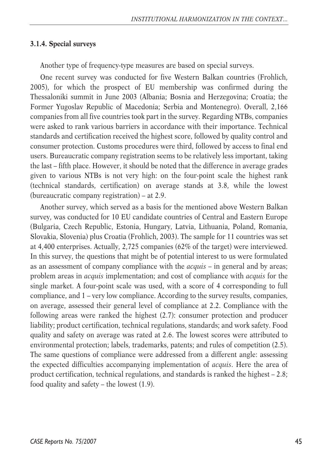#### **3.1.4. Special surveys**

Another type of frequency-type measures are based on special surveys.

One recent survey was conducted for five Western Balkan countries (Frohlich, 2005), for which the prospect of EU membership was confirmed during the Thessaloniki summit in June 2003 (Albania; Bosnia and Herzegovina; Croatia; the Former Yugoslav Republic of Macedonia; Serbia and Montenegro). Overall, 2,166 companies from all five countries took part in the survey. Regarding NTBs, companies were asked to rank various barriers in accordance with their importance. Technical standards and certification received the highest score, followed by quality control and consumer protection. Customs procedures were third, followed by access to final end users. Bureaucratic company registration seems to be relatively less important, taking the last – fifth place. However, it should be noted that the difference in average grades given to various NTBs is not very high: on the four-point scale the highest rank (technical standards, certification) on average stands at 3.8, while the lowest (bureaucratic company registration) – at 2.9.

Another survey, which served as a basis for the mentioned above Western Balkan survey, was conducted for 10 EU candidate countries of Central and Eastern Europe (Bulgaria, Czech Republic, Estonia, Hungary, Latvia, Lithuania, Poland, Romania, Slovakia, Slovenia) plus Croatia (Frohlich, 2003). The sample for 11 countries was set at 4,400 enterprises. Actually, 2,725 companies (62% of the target) were interviewed. In this survey, the questions that might be of potential interest to us were formulated as an assessment of company compliance with the *acquis* – in general and by areas; problem areas in *acquis* implementation; and cost of compliance with *acquis* for the single market. A four-point scale was used, with a score of 4 corresponding to full compliance, and 1 – very low compliance. According to the survey results, companies, on average, assessed their general level of compliance at 2.2. Compliance with the following areas were ranked the highest (2.7): consumer protection and producer liability; product certification, technical regulations, standards; and work safety. Food quality and safety on average was rated at 2.6. The lowest scores were attributed to environmental protection; labels, trademarks, patents; and rules of competition (2.5). The same questions of compliance were addressed from a different angle: assessing the expected difficulties accompanying implementation of *acquis*. Here the area of product certification, technical regulations, and standards is ranked the highest – 2.8; food quality and safety – the lowest (1.9).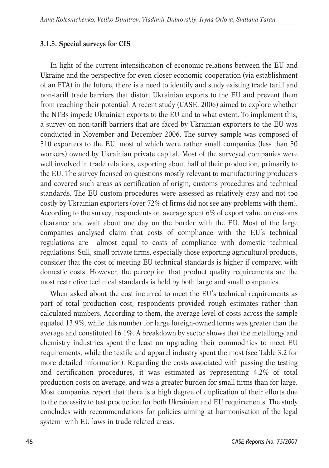#### **3.1.5. Special surveys for CIS**

In light of the current intensification of economic relations between the EU and Ukraine and the perspective for even closer economic cooperation (via establishment of an FTA) in the future, there is a need to identify and study existing trade tariff and non-tariff trade barriers that distort Ukrainian exports to the EU and prevent them from reaching their potential. A recent study (CASE, 2006) aimed to explore whether the NTBs impede Ukrainian exports to the EU and to what extent. To implement this, a survey on non-tariff barriers that are faced by Ukrainian exporters to the EU was conducted in November and December 2006. The survey sample was composed of 510 exporters to the EU, most of which were rather small companies (less than 50 workers) owned by Ukrainian private capital. Most of the surveyed companies were well involved in trade relations, exporting about half of their production, primarily to the EU. The survey focused on questions mostly relevant to manufacturing producers and covered such areas as certification of origin, customs procedures and technical standards. The EU custom procedures were assessed as relatively easy and not too costly by Ukrainian exporters (over 72% of firms did not see any problems with them). According to the survey, respondents on average spent 6% of export value on customs clearance and wait about one day on the border with the EU. Most of the large companies analysed claim that costs of compliance with the EU's technical regulations are almost equal to costs of compliance with domestic technical regulations. Still, small private firms, especially those exporting agricultural products, consider that the cost of meeting EU technical standards is higher if compared with domestic costs. However, the perception that product quality requirements are the most restrictive technical standards is held by both large and small companies.

When asked about the cost incurred to meet the EU's technical requirements as part of total production cost, respondents provided rough estimates rather than calculated numbers. According to them, the average level of costs across the sample equaled 13.9%, while this number for large foreign-owned forms was greater than the average and constituted 16.1%. A breakdown by sector shows that the metallurgy and chemistry industries spent the least on upgrading their commodities to meet EU requirements, while the textile and apparel industry spent the most (see Table 3.2 for more detailed information). Regarding the costs associated with passing the testing and certification procedures, it was estimated as representing 4.2% of total production costs on average, and was a greater burden for small firms than for large. Most companies report that there is a high degree of duplication of their efforts due to the necessity to test production for both Ukrainian and EU requirements. The study concludes with recommendations for policies aiming at harmonisation of the legal system with EU laws in trade related areas.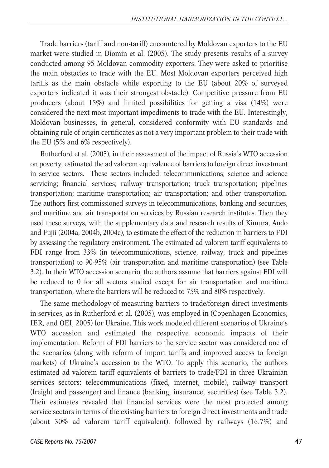Trade barriers (tariff and non-tariff) encountered by Moldovan exporters to the EU market were studied in Diomin et al. (2005). The study presents results of a survey conducted among 95 Moldovan commodity exporters. They were asked to prioritise the main obstacles to trade with the EU. Most Moldovan exporters perceived high tariffs as the main obstacle while exporting to the EU (about 20% of surveyed exporters indicated it was their strongest obstacle). Competitive pressure from EU producers (about 15%) and limited possibilities for getting a visa (14%) were considered the next most important impediments to trade with the EU. Interestingly, Moldovan businesses, in general, considered conformity with EU standards and obtaining rule of origin certificates as not a very important problem to their trade with the EU (5% and 6% respectively).

Rutherford et al. (2005), in their assessment of the impact of Russia's WTO accession on poverty, estimated the ad valorem equivalence of barriers to foreign direct investment in service sectors. These sectors included: telecommunications; science and science servicing; financial services; railway transportation; truck transportation; pipelines transportation; maritime transportation; air transportation; and other transportation. The authors first commissioned surveys in telecommunications, banking and securities, and maritime and air transportation services by Russian research institutes. Then they used these surveys, with the supplementary data and research results of Kimura, Ando and Fujii (2004a, 2004b, 2004c), to estimate the effect of the reduction in barriers to FDI by assessing the regulatory environment. The estimated ad valorem tariff equivalents to FDI range from 33% (in telecommunications, science, railway, truck and pipelines transportation) to 90-95% (air transportation and maritime transportation) (see Table 3.2). In their WTO accession scenario, the authors assume that barriers against FDI will be reduced to 0 for all sectors studied except for air transportation and maritime transportation, where the barriers will be reduced to 75% and 80% respectively.

The same methodology of measuring barriers to trade/foreign direct investments in services, as in Rutherford et al. (2005), was employed in (Copenhagen Economics, IER, and OEI, 2005) for Ukraine. This work modeled different scenarios of Ukraine's WTO accession and estimated the respective economic impacts of their implementation. Reform of FDI barriers to the service sector was considered one of the scenarios (along with reform of import tariffs and improved access to foreign markets) of Ukraine's accession to the WTO. To apply this scenario, the authors estimated ad valorem tariff equivalents of barriers to trade/FDI in three Ukrainian services sectors: telecommunications (fixed, internet, mobile), railway transport (freight and passenger) and finance (banking, insurance, securities) (see Table 3.2). Their estimates revealed that financial services were the most protected among service sectors in terms of the existing barriers to foreign direct investments and trade (about 30% ad valorem tariff equivalent), followed by railways (16.7%) and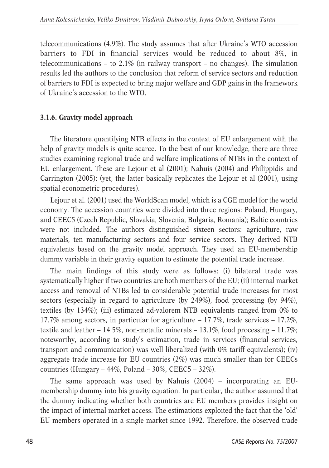telecommunications (4.9%). The study assumes that after Ukraine's WTO accession barriers to FDI in financial services would be reduced to about 8%, in telecommunications – to  $2.1\%$  (in railway transport – no changes). The simulation results led the authors to the conclusion that reform of service sectors and reduction of barriers to FDI is expected to bring major welfare and GDP gains in the framework of Ukraine's accession to the WTO.

## **3.1.6. Gravity model approach**

The literature quantifying NTB effects in the context of EU enlargement with the help of gravity models is quite scarce. To the best of our knowledge, there are three studies examining regional trade and welfare implications of NTBs in the context of EU enlargement. These are Lejour et al (2001); Nahuis (2004) and Philippidis and Carrington (2005); (yet, the latter basically replicates the Lejour et al (2001), using spatial econometric procedures).

Lejour et al. (2001) used the WorldScan model, which is a CGE model for the world economy. The accession countries were divided into three regions: Poland, Hungary, and CEEC5 (Czech Republic, Slovakia, Slovenia, Bulgaria, Romania); Baltic countries were not included. The authors distinguished sixteen sectors: agriculture, raw materials, ten manufacturing sectors and four service sectors. They derived NTB equivalents based on the gravity model approach. They used an EU-membership dummy variable in their gravity equation to estimate the potential trade increase.

The main findings of this study were as follows: (i) bilateral trade was systematically higher if two countries are both members of the EU; (ii) internal market access and removal of NTBs led to considerable potential trade increases for most sectors (especially in regard to agriculture (by 249%), food processing (by 94%), textiles (by 134%); (iii) estimated ad-valorem NTB equivalents ranged from 0% to 17.7% among sectors, in particular for agriculture – 17.7%, trade services – 17.2%, textile and leather – 14.5%, non-metallic minerals – 13.1%, food processing – 11.7%; noteworthy, according to study's estimation, trade in services (financial services, transport and communication) was well liberalized (with 0% tariff equivalents); (iv) aggregate trade increase for EU countries (2%) was much smaller than for CEECs countries (Hungary –  $44\%$ , Poland –  $30\%$ , CEEC5 –  $32\%$ ).

The same approach was used by Nahuis (2004) – incorporating an EUmembership dummy into his gravity equation. In particular, the author assumed that the dummy indicating whether both countries are EU members provides insight on the impact of internal market access. The estimations exploited the fact that the 'old' EU members operated in a single market since 1992. Therefore, the observed trade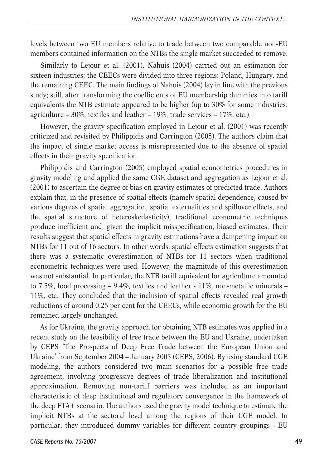levels between two EU members relative to trade between two comparable non-EU members contained information on the NTBs the single market succeeded to remove.

Similarly to Lejour et al. (2001), Nahuis (2004) carried out an estimation for sixteen industries; the CEECs were divided into three regions: Poland, Hungary, and the remaining CEEC. The main findings of Nahuis (2004) lay in line with the previous study; still, after transforming the coefficients of EU membership dummies into tariff equivalents the NTB estimate appeared to be higher (up to 30% for some industries: agriculture – 30%, textiles and leather – 19%, trade services – 17%, etc.).

However, the gravity specification employed in Lejour et al. (2001) was recently criticized and revisited by Philippidis and Carrington (2005). The authors claim that the impact of single market access is misrepresented due to the absence of spatial effects in their gravity specification.

Philippidis and Carrington (2005) employed spatial econometrics procedures in gravity modeling and applied the same CGE dataset and aggregation as Lejour et al. (2001) to ascertain the degree of bias on gravity estimates of predicted trade. Authors explain that, in the presence of spatial effects (namely spatial dependence, caused by various degrees of spatial aggregation, spatial externalities and spillover effects, and the spatial structure of heteroskedasticity), traditional econometric techniques produce inefficient and, given the implicit misspecification, biased estimates. Their results suggest that spatial effects in gravity estimations have a dampening impact on NTBs for 11 out of 16 sectors. In other words, spatial effects estimation suggests that there was a systematic overestimation of NTBs for 11 sectors when traditional econometric techniques were used. However, the magnitude of this overestimation was not substantial. In particular, the NTB tariff equivalent for agriculture amounted to 7.5%, food processing – 9.4%, textiles and leather - 11%, non-metallic minerals – 11%, etc. They concluded that the inclusion of spatial effects revealed real growth reductions of around 0.25 per cent for the CEECs, while economic growth for the EU remained largely unchanged.

As for Ukraine, the gravity approach for obtaining NTB estimates was applied in a recent study on the feasibility of free trade between the EU and Ukraine, undertaken by CEPS 'The Prospects of Deep Free Trade between the European Union and Ukraine' from September 2004 – January 2005 (CEPS, 2006). By using standard CGE modeling, the authors considered two main scenarios for a possible free trade agreement, involving progressive degrees of trade liberalization and institutional approximation. Removing non-tariff barriers was included as an important characteristic of deep institutional and regulatory convergence in the framework of the deep FTA+ scenario. The authors used the gravity model technique to estimate the implicit NTBs at the sectoral level among the regions of their CGE model. In particular, they introduced dummy variables for different country groupings - EU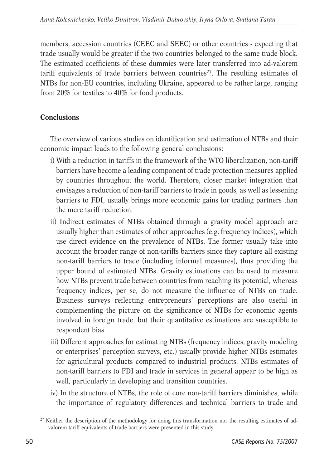members, accession countries (CEEC and SEEC) or other countries - expecting that trade usually would be greater if the two countries belonged to the same trade block. The estimated coefficients of these dummies were later transferred into ad-valorem tariff equivalents of trade barriers between countries<sup>27</sup>. The resulting estimates of NTBs for non-EU countries, including Ukraine, appeared to be rather large, ranging from 20% for textiles to 40% for food products.

## **Conclusions**

The overview of various studies on identification and estimation of NTBs and their economic impact leads to the following general conclusions:

- i) With a reduction in tariffs in the framework of the WTO liberalization, non-tariff barriers have become a leading component of trade protection measures applied by countries throughout the world. Therefore, closer market integration that envisages a reduction of non-tariff barriers to trade in goods, as well as lessening barriers to FDI, usually brings more economic gains for trading partners than the mere tariff reduction.
- ii) Indirect estimates of NTBs obtained through a gravity model approach are usually higher than estimates of other approaches (e.g. frequency indices), which use direct evidence on the prevalence of NTBs. The former usually take into account the broader range of non-tariffs barriers since they capture all existing non-tariff barriers to trade (including informal measures), thus providing the upper bound of estimated NTBs. Gravity estimations can be used to measure how NTBs prevent trade between countries from reaching its potential, whereas frequency indices, per se, do not measure the influence of NTBs on trade. Business surveys reflecting entrepreneurs' perceptions are also useful in complementing the picture on the significance of NTBs for economic agents involved in foreign trade, but their quantitative estimations are susceptible to respondent bias.
- iii) Different approaches for estimating NTBs (frequency indices, gravity modeling or enterprises' perception surveys, etc.) usually provide higher NTBs estimates for agricultural products compared to industrial products. NTBs estimates of non-tariff barriers to FDI and trade in services in general appear to be high as well, particularly in developing and transition countries.
- iv) In the structure of NTBs, the role of core non-tariff barriers diminishes, while the importance of regulatory differences and technical barriers to trade and

<sup>&</sup>lt;sup>27</sup> Neither the description of the methodology for doing this transformation nor the resulting estimates of advalorem tariff equivalents of trade barriers were presented in this study.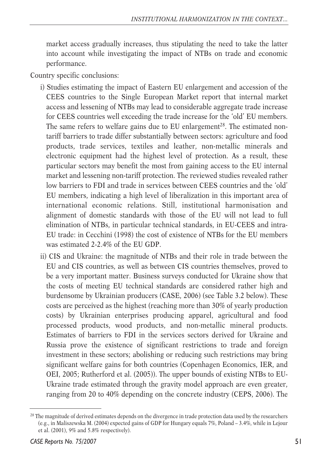market access gradually increases, thus stipulating the need to take the latter into account while investigating the impact of NTBs on trade and economic performance.

Country specific conclusions:

- i) Studies estimating the impact of Eastern EU enlargement and accession of the CEES countries to the Single European Market report that internal market access and lessening of NTBs may lead to considerable aggregate trade increase for CEES countries well exceeding the trade increase for the 'old' EU members. The same refers to welfare gains due to EU enlargement<sup>28</sup>. The estimated nontariff barriers to trade differ substantially between sectors: agriculture and food products, trade services, textiles and leather, non-metallic minerals and electronic equipment had the highest level of protection. As a result, these particular sectors may benefit the most from gaining access to the EU internal market and lessening non-tariff protection. The reviewed studies revealed rather low barriers to FDI and trade in services between CEES countries and the 'old' EU members, indicating a high level of liberalization in this important area of international economic relations. Still, institutional harmonisation and alignment of domestic standards with those of the EU will not lead to full elimination of NTBs, in particular technical standards, in EU-CEES and intra-EU trade: in Cecchini (1998) the cost of existence of NTBs for the EU members was estimated 2-2.4% of the EU GDP.
- ii) CIS and Ukraine: the magnitude of NTBs and their role in trade between the EU and CIS countries, as well as between CIS countries themselves, proved to be a very important matter. Business surveys conducted for Ukraine show that the costs of meeting EU technical standards are considered rather high and burdensome by Ukrainian producers (CASE, 2006) (see Table 3.2 below). These costs are perceived as the highest (reaching more than 30% of yearly production costs) by Ukrainian enterprises producing apparel, agricultural and food processed products, wood products, and non-metallic mineral products. Estimates of barriers to FDI in the services sectors derived for Ukraine and Russia prove the existence of significant restrictions to trade and foreign investment in these sectors; abolishing or reducing such restrictions may bring significant welfare gains for both countries (Copenhagen Economics, IER, and OEI, 2005; Rutherford et al. (2005)). The upper bounds of existing NTBs to EU-Ukraine trade estimated through the gravity model approach are even greater, ranging from 20 to 40% depending on the concrete industry (CEPS, 2006). The

<sup>&</sup>lt;sup>28</sup> The magnitude of derived estimates depends on the divergence in trade protection data used by the researchers (e.g., in Maliszewska M. (2004) expected gains of GDP for Hungary equals 7%, Poland – 3.4%, while in Lejour et al. (2001), 9% and 5.8% respectively).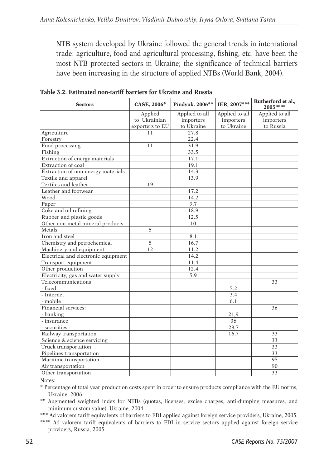NTB system developed by Ukraine followed the general trends in international trade: agriculture, food and agricultural processing, fishing, etc. have been the most NTB protected sectors in Ukraine; the significance of technical barriers have been increasing in the structure of applied NTBs (World Bank, 2004).

| <b>Sectors</b>                      | <b>CASE, 2006*</b> | Pindyuk, 2006** | IER, 2007***   | Rutherford et al.,<br>2005**** |
|-------------------------------------|--------------------|-----------------|----------------|--------------------------------|
|                                     | Applied            | Applied to all  | Applied to all | Applied to all                 |
|                                     | to Ukrainian       | importers       | importers      | importers                      |
|                                     | exporters to EU    | to Ukraine      | to Ukraine     | to Russia                      |
| Agriculture                         | 11                 | 27.8            |                |                                |
| Forestry                            |                    | 22.4            |                |                                |
| Food processing                     | 11                 | 31.9            |                |                                |
| Fishing                             |                    | 33.5            |                |                                |
| Extraction of energy materials      |                    | 17.1            |                |                                |
| Extraction of coal                  |                    | 19.1            |                |                                |
| Extraction of non-energy materials  |                    | 14.3            |                |                                |
| Textile and apparel                 |                    | 13.9            |                |                                |
| Textiles and leather                | 19                 |                 |                |                                |
| Leather and footwear                |                    | 17.2            |                |                                |
| Wood                                |                    | 14.2            |                |                                |
| Paper                               |                    | 9.7             |                |                                |
| Coke and oil refining               |                    | 18.9            |                |                                |
| Rubber and plastic goods            |                    | 12.5            |                |                                |
| Other non-metal mineral products    |                    | 10              |                |                                |
| Metals                              | 5                  |                 |                |                                |
| Iron and steel                      |                    | 8.1             |                |                                |
| Chemistry and petrochemical         | 5                  | 16.7            |                |                                |
| Machinery and equipment             | 12                 | 11.2            |                |                                |
| Electrical and electronic equipment |                    | 14.2            |                |                                |
| Transport equipment                 |                    | 11.4            |                |                                |
| Other production                    |                    | 12.4            |                |                                |
| Electricity, gas and water supply   |                    | 5.9             |                |                                |
| Telecommunications                  |                    |                 |                | 33                             |
| - fixed                             |                    |                 | 5.2            |                                |
| - Internet                          |                    |                 | 3.4            |                                |
| - mobile                            |                    |                 | 6.1            |                                |
| Financial services:                 |                    |                 |                | 36                             |
| - banking                           |                    |                 | 21,9           |                                |
| - insurance                         |                    |                 | 36             |                                |
| - securities                        |                    |                 | 28,7           |                                |
| Railway transportation              |                    |                 | 16,7           | 33                             |
| Science & science servicing         |                    |                 |                | 33                             |
| Truck transportation                |                    |                 |                | 33                             |
| Pipelines transportation            |                    |                 |                | 33                             |
| Maritime transportation             |                    |                 |                | 95                             |
| Air transportation                  |                    |                 |                | 90                             |
| Other transportation                |                    |                 |                | 33                             |

**Table 3.2. Estimated non-tariff barriers for Ukraine and Russia**

Notes:

\* Percentage of total year production costs spent in order to ensure products compliance with the EU norms, Ukraine, 2006.

\*\* Augmented weighted index for NTBs (quotas, licenses, excise charges, anti-dumping measures, and minimum custom value), Ukraine, 2004.

\*\*\* Ad valorem tariff equivalents of barriers to FDI applied against foreign service providers, Ukraine, 2005.

\*\*\*\* Ad valorem tariff equivalents of barriers to FDI in service sectors applied against foreign service providers, Russia, 2005.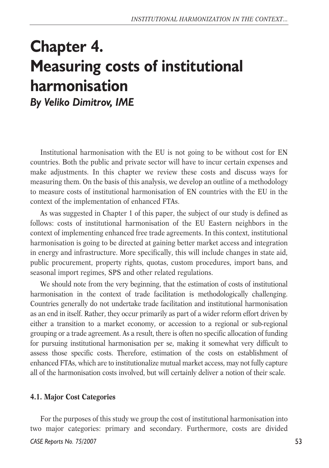## **Chapter 4. Measuring costs of institutional harmonisation** *By Veliko Dimitrov, IME*

Institutional harmonisation with the EU is not going to be without cost for EN countries. Both the public and private sector will have to incur certain expenses and make adjustments. In this chapter we review these costs and discuss ways for measuring them. On the basis of this analysis, we develop an outline of a methodology to measure costs of institutional harmonisation of EN countries with the EU in the context of the implementation of enhanced FTAs.

As was suggested in Chapter 1 of this paper, the subject of our study is defined as follows: costs of institutional harmonisation of the EU Eastern neighbors in the context of implementing enhanced free trade agreements. In this context, institutional harmonisation is going to be directed at gaining better market access and integration in energy and infrastructure. More specifically, this will include changes in state aid, public procurement, property rights, quotas, custom procedures, import bans, and seasonal import regimes, SPS and other related regulations.

We should note from the very beginning, that the estimation of costs of institutional harmonisation in the context of trade facilitation is methodologically challenging. Countries generally do not undertake trade facilitation and institutional harmonisation as an end in itself. Rather, they occur primarily as part of a wider reform effort driven by either a transition to a market economy, or accession to a regional or sub-regional grouping or a trade agreement. As a result, there is often no specific allocation of funding for pursuing institutional harmonisation per se, making it somewhat very difficult to assess those specific costs. Therefore, estimation of the costs on establishment of enhanced FTAs, which are to institutionalize mutual market access, may not fully capture all of the harmonisation costs involved, but will certainly deliver a notion of their scale.

#### **4.1. Major Cost Categories**

For the purposes of this study we group the cost of institutional harmonisation into two major categories: primary and secondary. Furthermore, costs are divided *CASE Reports No. 75/2007*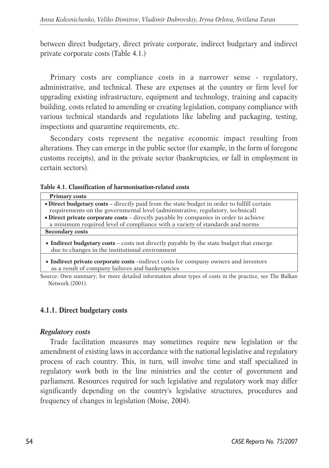between direct budgetary, direct private corporate, indirect budgetary and indirect private corporate costs (Table 4.1.)

Primary costs are compliance costs in a narrower sense - regulatory, administrative, and technical. These are expenses at the country or firm level for upgrading existing infrastructure, equipment and technology, training and capacity building, costs related to amending or creating legislation, company compliance with various technical standards and regulations like labeling and packaging, testing, inspections and quarantine requirements, etc.

Secondary costs represent the negative economic impact resulting from alterations. They can emerge in the public sector (for example, in the form of foregone customs receipts), and in the private sector (bankruptcies, or fall in employment in certain sectors).

**Table 4.1. Classification of harmonisation-related costs** 

| <b>Primary costs</b>                                                                                                                       |
|--------------------------------------------------------------------------------------------------------------------------------------------|
| • Direct budgetary costs – directly paid from the state budget in order to fulfill certain                                                 |
| requirements on the governmental level (administrative, regulatory, technical)                                                             |
| • Direct private corporate costs - directly payable by companies in order to achieve                                                       |
| a minimum required level of compliance with a variety of standards and norms                                                               |
| <b>Secondary costs</b>                                                                                                                     |
| • Indirect budgetary costs – costs not directly payable by the state budget that emerge<br>due to changes in the institutional environment |

• **Indirect private corporate costs** –indirect costs for company owners and investors as a result of company failures and bankruptcies

Source: Own summary; for more detailed information about types of costs in the practice, see The Balkan Network (2001).

#### **4.1.1. Direct budgetary costs**

#### *Regulatory costs*

Trade facilitation measures may sometimes require new legislation or the amendment of existing laws in accordance with the national legislative and regulatory process of each country. This, in turn, will involve time and staff specialized in regulatory work both in the line ministries and the center of government and parliament. Resources required for such legislative and regulatory work may differ significantly depending on the country's legislative structures, procedures and frequency of changes in legislation (Moise, 2004).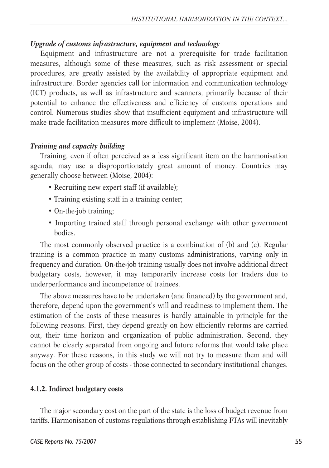#### *Upgrade of customs infrastructure, equipment and technology*

Equipment and infrastructure are not a prerequisite for trade facilitation measures, although some of these measures, such as risk assessment or special procedures, are greatly assisted by the availability of appropriate equipment and infrastructure. Border agencies call for information and communication technology (ICT) products, as well as infrastructure and scanners, primarily because of their potential to enhance the effectiveness and efficiency of customs operations and control. Numerous studies show that insufficient equipment and infrastructure will make trade facilitation measures more difficult to implement (Moise, 2004).

#### *Training and capacity building*

Training, even if often perceived as a less significant item on the harmonisation agenda, may use a disproportionately great amount of money. Countries may generally choose between (Moise, 2004):

- Recruiting new expert staff (if available);
- Training existing staff in a training center;
- On-the-job training;
- Importing trained staff through personal exchange with other government **bodies**

The most commonly observed practice is a combination of (b) and (c). Regular training is a common practice in many customs administrations, varying only in frequency and duration. On-the-job training usually does not involve additional direct budgetary costs, however, it may temporarily increase costs for traders due to underperformance and incompetence of trainees.

The above measures have to be undertaken (and financed) by the government and, therefore, depend upon the government's will and readiness to implement them. The estimation of the costs of these measures is hardly attainable in principle for the following reasons. First, they depend greatly on how efficiently reforms are carried out, their time horizon and organization of public administration. Second, they cannot be clearly separated from ongoing and future reforms that would take place anyway. For these reasons, in this study we will not try to measure them and will focus on the other group of costs - those connected to secondary institutional changes.

#### **4.1.2. Indirect budgetary costs**

The major secondary cost on the part of the state is the loss of budget revenue from tariffs. Harmonisation of customs regulations through establishing FTAs will inevitably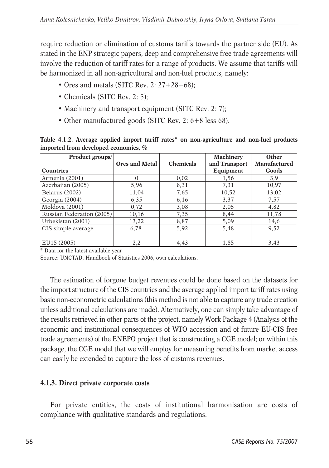require reduction or elimination of customs tariffs towards the partner side (EU). As stated in the ENP strategic papers, deep and comprehensive free trade agreements will involve the reduction of tariff rates for a range of products. We assume that tariffs will be harmonized in all non-agricultural and non-fuel products, namely:

- Ores and metals (SITC Rev. 2: 27+28+68);
- Chemicals (SITC Rev. 2: 5);
- Machinery and transport equipment (SITC Rev. 2: 7);
- Other manufactured goods (SITC Rev. 2: 6+8 less 68).

**Table 4.1.2. Average applied import tariff rates\* on non-agriculture and non-fuel products imported from developed economies, %** 

| Product groups/           |                       |                  | <b>Machinery</b> | Other        |
|---------------------------|-----------------------|------------------|------------------|--------------|
|                           | <b>Ores and Metal</b> | <b>Chemicals</b> | and Transport    | Manufactured |
| <b>Countries</b>          |                       |                  | Equipment        | Goods        |
| Armenia (2001)            | $\Omega$              | 0.02             | 1,56             | 3,9          |
| Azerbaijan (2005)         | 5,96                  | 8,31             | 7,31             | 10,97        |
| Belarus (2002)            | 11,04                 | 7,65             | 10,52            | 13,02        |
| Georgia (2004)            | 6,35                  | 6,16             | 3,37             | 7,57         |
| Moldova (2001)            | 0.72                  | 3,08             | 2,05             | 4,82         |
| Russian Federation (2005) | 10,16                 | 7,35             | 8,44             | 11,78        |
| Uzbekistan (2001)         | 13,22                 | 8,87             | 5,09             | 14,6         |
| CIS simple average        | 6,78                  | 5,92             | 5,48             | 9,52         |
|                           |                       |                  |                  |              |
| EU15 (2005)               | 2,2                   | 4,43             | 1,85             | 3,43         |

\* Data for the latest available year

Source: UNCTAD, Handbook of Statistics 2006, own calculations.

The estimation of forgone budget revenues could be done based on the datasets for the import structure of the CIS countries and the average applied import tariff rates using basic non-econometric calculations (this method is not able to capture any trade creation unless additional calculations are made). Alternatively, one can simply take advantage of the results retrieved in other parts of the project, namely Work Package 4 (Analysis of the economic and institutional consequences of WTO accession and of future EU-CIS free trade agreements) of the ENEPO project that is constructing a CGE model; or within this package, the CGE model that we will employ for measuring benefits from market access can easily be extended to capture the loss of customs revenues.

#### **4.1.3. Direct private corporate costs**

For private entities, the costs of institutional harmonisation are costs of compliance with qualitative standards and regulations.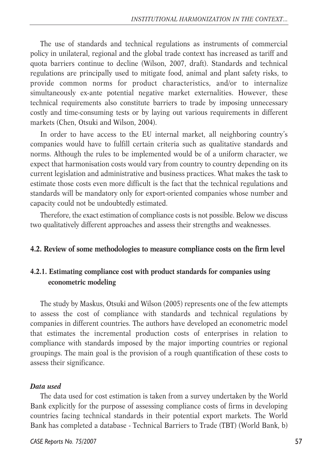The use of standards and technical regulations as instruments of commercial policy in unilateral, regional and the global trade context has increased as tariff and quota barriers continue to decline (Wilson, 2007, draft). Standards and technical regulations are principally used to mitigate food, animal and plant safety risks, to provide common norms for product characteristics, and/or to internalize simultaneously ex-ante potential negative market externalities. However, these technical requirements also constitute barriers to trade by imposing unnecessary costly and time-consuming tests or by laying out various requirements in different markets (Chen, Otsuki and Wilson, 2004).

In order to have access to the EU internal market, all neighboring country's companies would have to fulfill certain criteria such as qualitative standards and norms. Although the rules to be implemented would be of a uniform character, we expect that harmonisation costs would vary from country to country depending on its current legislation and administrative and business practices. What makes the task to estimate those costs even more difficult is the fact that the technical regulations and standards will be mandatory only for export-oriented companies whose number and capacity could not be undoubtedly estimated.

Therefore, the exact estimation of compliance costs is not possible. Below we discuss two qualitatively different approaches and assess their strengths and weaknesses.

#### **4.2. Review of some methodologies to measure compliance costs on the firm level**

## **4.2.1. Estimating compliance cost with product standards for companies using econometric modeling**

The study by Maskus, Otsuki and Wilson (2005) represents one of the few attempts to assess the cost of compliance with standards and technical regulations by companies in different countries. The authors have developed an econometric model that estimates the incremental production costs of enterprises in relation to compliance with standards imposed by the major importing countries or regional groupings. The main goal is the provision of a rough quantification of these costs to assess their significance.

#### *Data used*

The data used for cost estimation is taken from a survey undertaken by the World Bank explicitly for the purpose of assessing compliance costs of firms in developing countries facing technical standards in their potential export markets. The World Bank has completed a database - Technical Barriers to Trade (TBT) (World Bank, b)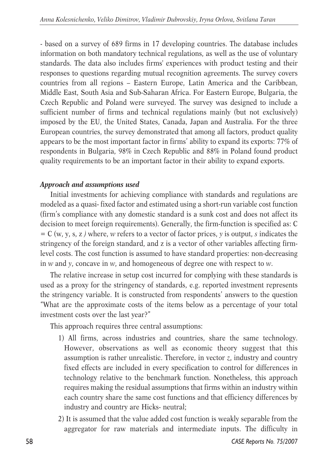- based on a survey of 689 firms in 17 developing countries. The database includes information on both mandatory technical regulations, as well as the use of voluntary standards. The data also includes firms' experiences with product testing and their responses to questions regarding mutual recognition agreements. The survey covers countries from all regions – Eastern Europe, Latin America and the Caribbean, Middle East, South Asia and Sub-Saharan Africa. For Eastern Europe, Bulgaria, the Czech Republic and Poland were surveyed. The survey was designed to include a sufficient number of firms and technical regulations mainly (but not exclusively) imposed by the EU, the United States, Canada, Japan and Australia. For the three European countries, the survey demonstrated that among all factors, product quality appears to be the most important factor in firms' ability to expand its exports: 77% of respondents in Bulgaria, 98% in Czech Republic and 88% in Poland found product quality requirements to be an important factor in their ability to expand exports.

#### *Approach and assumptions used*

Initial investments for achieving compliance with standards and regulations are modeled as a quasi- fixed factor and estimated using a short-run variable cost function (firm's compliance with any domestic standard is a sunk cost and does not affect its decision to meet foreign requirements). Generally, the firm-function is specified as: C = C (w, y, s, z *)* where, *w* refers to a vector of factor prices, *y* is output, *s* indicates the stringency of the foreign standard, and z is a vector of other variables affecting firmlevel costs. The cost function is assumed to have standard properties: non-decreasing in *w* and *y*, concave in *w*, and homogeneous of degree one with respect to *w*.

The relative increase in setup cost incurred for complying with these standards is used as a proxy for the stringency of standards, e.g. reported investment represents the stringency variable. It is constructed from respondents' answers to the question "What are the approximate costs of the items below as a percentage of your total investment costs over the last year?"

This approach requires three central assumptions:

- 1) All firms, across industries and countries, share the same technology. However, observations as well as economic theory suggest that this assumption is rather unrealistic. Therefore, in vector *z*, industry and country fixed effects are included in every specification to control for differences in technology relative to the benchmark function. Nonetheless, this approach requires making the residual assumptions that firms within an industry within each country share the same cost functions and that efficiency differences by industry and country are Hicks- neutral;
- 2) It is assumed that the value added cost function is weakly separable from the aggregator for raw materials and intermediate inputs. The difficulty in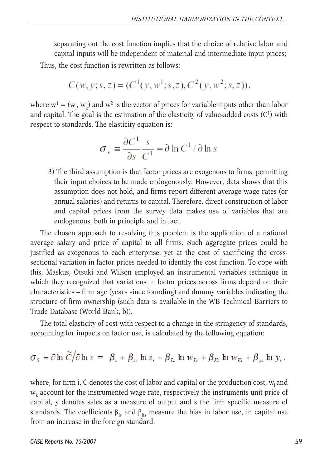separating out the cost function implies that the choice of relative labor and capital inputs will be independent of material and intermediate input prices; Thus, the cost function is rewritten as follows:

$$
C(w, y; s, z) = (C1(y, w1; s, z), C2(y, w2; s, z)),
$$

where  $w^1 = (w_1, w_k)$  and  $w^2$  is the vector of prices for variable inputs other than labor and capital. The goal is the estimation of the elasticity of value-added costs  $(C<sup>1</sup>)$  with respect to standards. The elasticity equation is:

$$
\sigma_s = \frac{\partial C^1}{\partial s} \frac{s}{C^1} = \partial \ln C^1 / \partial \ln s
$$

3) The third assumption is that factor prices are exogenous to firms, permitting their input choices to be made endogenously. However, data shows that this assumption does not hold, and firms report different average wage rates (or annual salaries) and returns to capital. Therefore, direct construction of labor and capital prices from the survey data makes use of variables that are endogenous, both in principle and in fact.

The chosen approach to resolving this problem is the application of a national average salary and price of capital to all firms. Such aggregate prices could be justified as exogenous to each enterprise, yet at the cost of sacrificing the crosssectional variation in factor prices needed to identify the cost function. To cope with this, Maskus, Otsuki and Wilson employed an instrumental variables technique in which they recognized that variations in factor prices across firms depend on their characteristics – firm age (years since founding) and dummy variables indicating the structure of firm ownership (such data is available in the WB Technical Barriers to Trade Database (World Bank, b)).

The total elasticity of cost with respect to a change in the stringency of standards, accounting for impacts on factor use, is calculated by the following equation:

$$
\sigma_s \equiv \partial \ln \widetilde{C}/\partial \ln s = \beta_s + \beta_{ss} \ln s_i + \beta_{Ls} \ln w_{Li} + \beta_{Ks} \ln w_{Ki} + \beta_{ys} \ln y_i.
$$

where, for firm i, C denotes the cost of labor and capital or the production cost,  $w_1$  and  $w_k$  account for the instrumented wage rate, respectively the instruments unit price of capital, y denotes sales as a measure of output and s the firm specific measure of standards. The coefficients  $\beta_{ls}$  and  $\beta_{ks}$  measure the bias in labor use, in capital use from an increase in the foreign standard.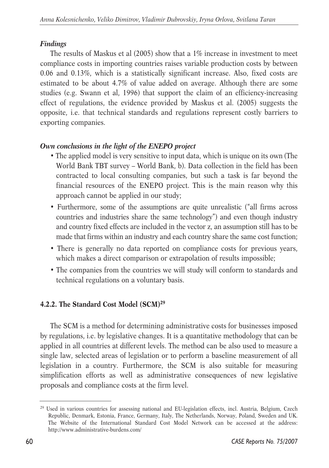## *Findings*

The results of Maskus et al (2005) show that a 1% increase in investment to meet compliance costs in importing countries raises variable production costs by between 0.06 and 0.13%, which is a statistically significant increase. Also, fixed costs are estimated to be about 4.7% of value added on average. Although there are some studies (e.g. Swann et al, 1996) that support the claim of an efficiency-increasing effect of regulations, the evidence provided by Maskus et al. (2005) suggests the opposite, i.e. that technical standards and regulations represent costly barriers to exporting companies.

## *Own conclusions in the light of the ENEPO project*

- The applied model is very sensitive to input data, which is unique on its own (The World Bank TBT survey – World Bank, b). Data collection in the field has been contracted to local consulting companies, but such a task is far beyond the financial resources of the ENEPO project. This is the main reason why this approach cannot be applied in our study;
- Furthermore, some of the assumptions are quite unrealistic ("all firms across countries and industries share the same technology") and even though industry and country fixed effects are included in the vector z, an assumption still has to be made that firms within an industry and each country share the same cost function;
- There is generally no data reported on compliance costs for previous years, which makes a direct comparison or extrapolation of results impossible;
- The companies from the countries we will study will conform to standards and technical regulations on a voluntary basis.

## **4.2.2. The Standard Cost Model (SCM)<sup>29</sup>**

The SCM is a method for determining administrative costs for businesses imposed by regulations, i.e. by legislative changes. It is a quantitative methodology that can be applied in all countries at different levels. The method can be also used to measure a single law, selected areas of legislation or to perform a baseline measurement of all legislation in a country. Furthermore, the SCM is also suitable for measuring simplification efforts as well as administrative consequences of new legislative proposals and compliance costs at the firm level.

<sup>29</sup> Used in various countries for assessing national and EU-legislation effects, incl. Austria, Belgium, Czech Republic, Denmark, Estonia, France, Germany, Italy, The Netherlands, Norway, Poland, Sweden and UK. The Website of the International Standard Cost Model Network can be accessed at the address: http://www.administrative-burdens.com/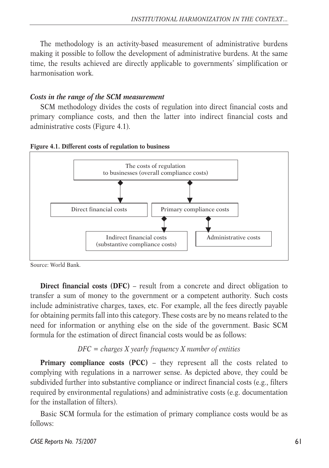The methodology is an activity-based measurement of administrative burdens making it possible to follow the development of administrative burdens. At the same time, the results achieved are directly applicable to governments' simplification or harmonisation work.

#### *Costs in the range of the SCM measurement*

SCM methodology divides the costs of regulation into direct financial costs and primary compliance costs, and then the latter into indirect financial costs and administrative costs (Figure 4.1).





Source: World Bank.

**Direct financial costs (DFC)** – result from a concrete and direct obligation to transfer a sum of money to the government or a competent authority. Such costs include administrative charges, taxes, etc. For example, all the fees directly payable for obtaining permits fall into this category. These costs are by no means related to the need for information or anything else on the side of the government. Basic SCM formula for the estimation of direct financial costs would be as follows:

#### *DFC = charges X yearly frequency X number of entities*

**Primary compliance costs (PCC) – they represent all the costs related to** complying with regulations in a narrower sense. As depicted above, they could be subdivided further into substantive compliance or indirect financial costs (e.g., filters required by environmental regulations) and administrative costs (e.g. documentation for the installation of filters).

Basic SCM formula for the estimation of primary compliance costs would be as follows: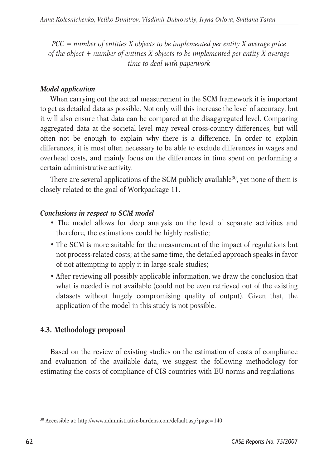*PCC = number of entities X objects to be implemented per entity X average price of the object + number of entities X objects to be implemented per entity X average time to deal with paperwork*

### *Model application*

When carrying out the actual measurement in the SCM framework it is important to get as detailed data as possible. Not only will this increase the level of accuracy, but it will also ensure that data can be compared at the disaggregated level. Comparing aggregated data at the societal level may reveal cross-country differences, but will often not be enough to explain why there is a difference. In order to explain differences, it is most often necessary to be able to exclude differences in wages and overhead costs, and mainly focus on the differences in time spent on performing a certain administrative activity.

There are several applications of the SCM publicly available<sup>30</sup>, yet none of them is closely related to the goal of Workpackage 11.

## *Conclusions in respect to SCM model*

- The model allows for deep analysis on the level of separate activities and therefore, the estimations could be highly realistic;
- The SCM is more suitable for the measurement of the impact of regulations but not process-related costs; at the same time, the detailed approach speaks in favor of not attempting to apply it in large-scale studies;
- After reviewing all possibly applicable information, we draw the conclusion that what is needed is not available (could not be even retrieved out of the existing datasets without hugely compromising quality of output). Given that, the application of the model in this study is not possible.

## **4.3. Methodology proposal**

Based on the review of existing studies on the estimation of costs of compliance and evaluation of the available data, we suggest the following methodology for estimating the costs of compliance of CIS countries with EU norms and regulations.

<sup>30</sup> Accessible at: http://www.administrative-burdens.com/default.asp?page=140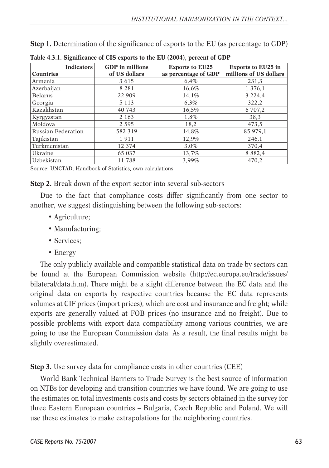**Step 1.** Determination of the significance of exports to the EU (as percentage to GDP)

| <b>Indicators</b><br><b>Countries</b> | <b>GDP</b> in millions<br>of US dollars | <b>Exports to EU25</b><br>as percentage of GDP | <b>Exports to EU25 in</b><br>millions of US dollars |
|---------------------------------------|-----------------------------------------|------------------------------------------------|-----------------------------------------------------|
| Armenia                               | 3 6 1 5                                 | 6,4%                                           | 231,3                                               |
| Azerbaijan                            | 8 2 8 1                                 | 16,6%                                          | 1 3 7 6 , 1                                         |
| <b>Belarus</b>                        | 22 909                                  | 14,1%                                          | 3 2 2 4 4                                           |
| Georgia                               | 5 1 1 3                                 | 6,3%                                           | 322,2                                               |
| Kazakhstan                            | 40 743                                  | 16,5%                                          | 6 707,2                                             |
| Kyrgyzstan                            | 2 1 6 3                                 | 1,8%                                           | 38,3                                                |
| Moldova                               | 2 5 9 5                                 | 18,2                                           | 473,5                                               |
| <b>Russian Federation</b>             | 582 319                                 | 14,8%                                          | 85 979,1                                            |
| Tajikistan                            | 1911                                    | 12,9%                                          | 246,1                                               |
| Turkmenistan                          | 12 374                                  | $3.0\%$                                        | 370,4                                               |
| Ukraine                               | 65 037                                  | 13,7%                                          | 8 8 8 2 , 4                                         |
| Uzbekistan                            | 11788                                   | 3,99%                                          | 470.2                                               |

**Table 4.3.1. Significance of CIS exports to the EU (2004), percent of GDP**

Source: UNCTAD, Handbook of Statistics, own calculations.

**Step 2.** Break down of the export sector into several sub-sectors

Due to the fact that compliance costs differ significantly from one sector to another, we suggest distinguishing between the following sub-sectors:

- Agriculture;
- Manufacturing;
- Services:
- Energy

The only publicly available and compatible statistical data on trade by sectors can be found at the European Commission website (http://ec.europa.eu/trade/issues/ bilateral/data.htm). There might be a slight difference between the EC data and the original data on exports by respective countries because the EC data represents volumes at CIF prices (import prices), which are cost and insurance and freight; while exports are generally valued at FOB prices (no insurance and no freight). Due to possible problems with export data compatibility among various countries, we are going to use the European Commission data. As a result, the final results might be slightly overestimated.

**Step 3.** Use survey data for compliance costs in other countries (CEE)

World Bank Technical Barriers to Trade Survey is the best source of information on NTBs for developing and transition countries we have found. We are going to use the estimates on total investments costs and costs by sectors obtained in the survey for three Eastern European countries – Bulgaria, Czech Republic and Poland. We will use these estimates to make extrapolations for the neighboring countries.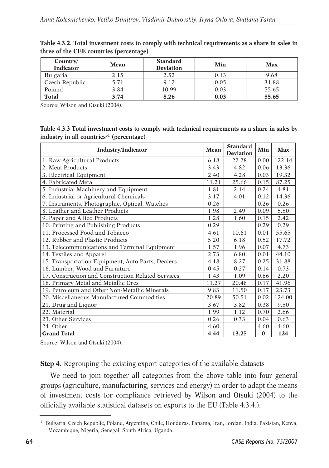| Country/<br><b>Indicator</b> | <b>Mean</b> | <b>Standard</b><br><b>Deviation</b> | Min  | <b>Max</b> |
|------------------------------|-------------|-------------------------------------|------|------------|
| <b>Bulgaria</b>              | 2.15        | 2.52                                | 0.13 | 9.68       |
| Czech Republic               | 5.71        | 9.12                                | 0.05 | 31.88      |
| Poland                       | 3.84        | 10.99                               | 0.03 | 55.65      |
| <b>Total</b>                 | 3.74        | 8.26                                | 0.03 | 55.65      |

**Table 4.3.2. Total investment costs to comply with technical requirements as a share in sales in three of the CEE countries (percentage)**

Source: Wilson and Otsuki (2004).

| Table 4.3.3 Total investment costs to comply with technical requirements as a share in sales by |  |
|-------------------------------------------------------------------------------------------------|--|
| industry in all countries <sup>31</sup> (percentage)                                            |  |

| <b>Industry/Indicator</b>                          | <b>Mean</b> | <b>Standard</b><br><b>Deviation</b> | Min      | <b>Max</b> |
|----------------------------------------------------|-------------|-------------------------------------|----------|------------|
| 1. Raw Agricultural Products                       | 6.18        | 22.28                               | 0.00     | 122.14     |
| 2. Meat Products                                   | 3.43        | 4.82                                | 0.06     | 13.36      |
| 3. Electrical Equipment                            | 2.40        | 4.28                                | 0.03     | 19.32      |
| 4. Fabricated Metal                                | 11.21       | 25.66                               | 0.15     | 87.25      |
| 5. Industrial Machinery and Equipment              | 1.81        | 2.14                                | 0.24     | 4.81       |
| 6. Industrial or Agricultural Chemicals            | 3.17        | 4.01                                | 0.12     | 14.36      |
| 7. Instruments, Photographic, Optical, Watches     | 0.26        |                                     | 0.26     | 0.26       |
| 8. Leather and Leather Products                    | 1.98        | 2.49                                | 0.09     | 5.50       |
| 9. Paper and Allied Products                       | 1.28        | 1.60                                | 0.15     | 2.42       |
| 10. Printing and Publishing Products               | 0.29        |                                     | 0.29     | 0.29       |
| 11. Processed Food and Tobacco                     | 4.61        | 10.61                               | 0.01     | 55.65      |
| 12. Rubber and Plastic Products                    | 5.20        | 6.18                                | 0.52     | 17.72      |
| 13. Telecommunications and Terminal Equipment      | 1.57        | 1.96                                | 0.07     | 4.73       |
| 14. Textiles and Apparel                           | 2.73        | 6.80                                | 0.01     | 44.10      |
| 15. Transportation Equipment, Auto Parts, Dealers  | 4.18        | 8.27                                | 0.25     | 31.88      |
| 16. Lumber, Wood and Furniture                     | 0.45        | 0.27                                | 0.14     | 0.73       |
| 17. Construction and Construction Related Services | 1.43        | 1.09                                | 0.66     | 2.20       |
| 18. Primary Metal and Metallic Ores                | 11.27       | 20.48                               | 0.17     | 41.96      |
| 19. Petroleum and Other Non-Metallic Minerals      | 9.83        | 11.50                               | 0.17     | 23.73      |
| 20. Miscellaneous Manufactured Commodities         | 20.89       | 50.51                               | 0.02     | 124.00     |
| 21. Drug and Liquor                                | 3.67        | 3.82                                | 0.38     | 9.50       |
| 22. Material                                       | 1.99        | 1.12                                | 0.70     | 2.66       |
| 23. Other Services                                 | 0.26        | 0.33                                | 0.04     | 0.63       |
| 24. Other                                          | 4.60        |                                     | 4.60     | 4.60       |
| <b>Grand Total</b>                                 | 4.44        | 13.25                               | $\bf{0}$ | 124        |

Source: Wilson and Otsuki (2004).

**Step 4.** Regrouping the existing export categories of the available datasets

We need to join together all categories from the above table into four general groups (agriculture, manufacturing, services and energy) in order to adapt the means of investment costs for compliance retrieved by Wilson and Otsuki (2004) to the officially available statistical datasets on exports to the EU (Table 4.3.4.).

<sup>31</sup> Bulgaria, Czech Republic, Poland, Argentina, Chile, Honduras, Panama, Iran, Jordan, India, Pakistan, Kenya, Mozambique, Nigeria, Senegal, South Africa, Uganda.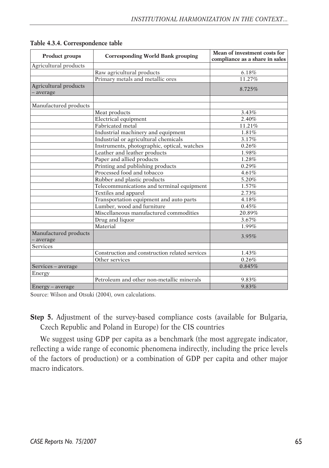| Product groups                     | <b>Corresponding World Bank grouping</b>       |          |
|------------------------------------|------------------------------------------------|----------|
| Agricultural products              |                                                |          |
|                                    | Raw agricultural products                      | $6.18\%$ |
|                                    | Primary metals and metallic ores               | 11.27%   |
| Agricultural products<br>- average |                                                | 8.725%   |
| Manufactured products              |                                                |          |
|                                    | Meat products                                  | 3.43%    |
|                                    | Electrical equipment                           | 2.40%    |
|                                    | Fabricated metal                               | 11.21%   |
|                                    | Industrial machinery and equipment             | 1.81%    |
|                                    | Industrial or agricultural chemicals           | 3.17%    |
|                                    | Instruments, photographic, optical, watches    | 0.26%    |
|                                    | Leather and leather products                   | 1.98%    |
|                                    | Paper and allied products                      | 1.28%    |
|                                    | Printing and publishing products               | 0.29%    |
|                                    | Processed food and tobacco                     | 4.61%    |
|                                    | Rubber and plastic products                    | 5.20%    |
|                                    | Telecommunications and terminal equipment      | 1.57%    |
|                                    | Textiles and apparel                           | 2.73%    |
|                                    | Transportation equipment and auto parts        | 4.18%    |
|                                    | Lumber, wood and furniture                     | 0.45%    |
|                                    | Miscellaneous manufactured commodities         | 20.89%   |
|                                    | Drug and liquor                                | 3.67%    |
|                                    | Material                                       | 1.99%    |
| Manufactured products<br>- average |                                                | 3.95%    |
| <b>Services</b>                    |                                                |          |
|                                    | Construction and construction related services | 1.43%    |
|                                    | Other services                                 | 0.26%    |
| Services – average                 |                                                | 0.845%   |
| Energy                             |                                                |          |
|                                    | Petroleum and other non-metallic minerals      | 9.83%    |
| Energy – average                   |                                                | 9.83%    |

**Table 4.3.4. Correspondence table**

Source: Wilson and Otsuki (2004), own calculations.

**Step 5.** Adjustment of the survey-based compliance costs (available for Bulgaria, Czech Republic and Poland in Europe) for the CIS countries

We suggest using GDP per capita as a benchmark (the most aggregate indicator, reflecting a wide range of economic phenomena indirectly, including the price levels of the factors of production) or a combination of GDP per capita and other major macro indicators.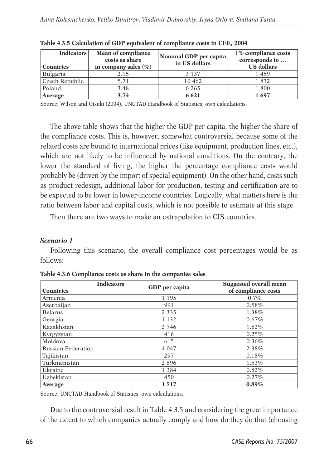| <b>Indicators</b><br><b>Countries</b> | <b>Mean of compliance</b><br>costs as share<br>in company sales $(\% )$ | Nominal GDP per capita<br>in US dollars | 1% compliance costs<br>corresponds to<br><b>US</b> dollars |
|---------------------------------------|-------------------------------------------------------------------------|-----------------------------------------|------------------------------------------------------------|
| Bulgaria                              | 2.15                                                                    | 3 1 3 7                                 | 1459                                                       |
| Czech Republic                        | 5.71                                                                    | 10 4 62                                 | 1832                                                       |
| Poland                                | 3.48                                                                    | 6 2 6 5                                 | 1800                                                       |
| Average                               | 3.74                                                                    | 6 6 2 1                                 | 1697                                                       |

|  | Table 4.3.5 Calculation of GDP equivalent of compliance costs in CEE, 2004 |  |  |  |  |
|--|----------------------------------------------------------------------------|--|--|--|--|
|  |                                                                            |  |  |  |  |

Source: Wilson and Otsuki (2004), UNCTAD Handbook of Statistics, own calculations.

The above table shows that the higher the GDP per capita, the higher the share of the compliance costs. This is, however, somewhat controversial because some of the related costs are bound to international prices (like equipment, production lines, etc.), which are not likely to be influenced by national conditions. On the contrary, the lower the standard of living, the higher the percentage compliance costs would probably be (driven by the import of special equipment). On the other hand, costs such as product redesign, additional labor for production, testing and certification are to be expected to be lower in lower-income countries. Logically, what matters here is the ratio between labor and capital costs, which is not possible to estimate at this stage.

Then there are two ways to make an extrapolation to CIS countries.

#### *Scenario 1*

Following this scenario, the overall compliance cost percentages would be as follows:

| <b>Indicators</b><br>Countries | GDP per capita | <b>Suggested overall mean</b><br>of compliance costs |
|--------------------------------|----------------|------------------------------------------------------|
| Armenia                        | 1 1 9 5        | 0.7%                                                 |
| Azerbaijan                     | 991            | 0.58%                                                |
| <b>Belarus</b>                 | 2 3 3 5        | 1.38%                                                |
| Georgia                        | 1 1 3 2        | 0.67%                                                |
| Kazakhstan                     | 2 7 4 6        | 1.62%                                                |
| Kyrgyzstan                     | 416            | 0.25%                                                |
| Moldova                        | 615            | 0.36%                                                |
| <b>Russian Federation</b>      | 4 0 4 7        | 2.38%                                                |
| Tajikistan                     | 297            | 0.18%                                                |
| Turkmenistan                   | 2 5 9 6        | 1.53%                                                |
| Ukraine                        | 1 3 8 4        | 0.82%                                                |
| Uzbekistan                     | 450            | 0.27%                                                |
| Average                        | 1517           | 0.89%                                                |

**Table 4.3.6 Compliance costs as share in the companies sales**

Source: UNCTAD Handbook of Statistics, own calculations.

Due to the controversial result in Table 4.3.5 and considering the great importance of the extent to which companies actually comply and how do they do that (choosing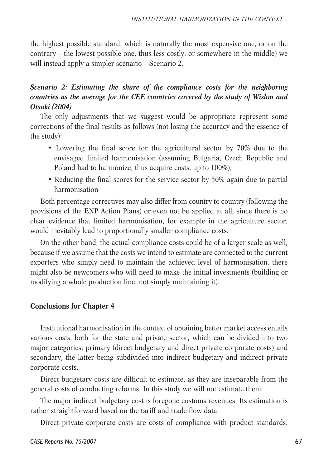the highest possible standard, which is naturally the most expensive one, or on the contrary – the lowest possible one, thus less costly, or somewhere in the middle) we will instead apply a simpler scenario – Scenario 2.

## *Scenario 2: Estimating the share of the compliance costs for the neighboring countries as the average for the CEE countries covered by the study of Wislon and Otsuki (2004)*

The only adjustments that we suggest would be appropriate represent some corrections of the final results as follows (not losing the accuracy and the essence of the study):

- Lowering the final score for the agricultural sector by 70% due to the envisaged limited harmonisation (assuming Bulgaria, Czech Republic and Poland had to harmonize, thus acquire costs, up to 100%);
- Reducing the final scores for the service sector by 50% again due to partial harmonisation

Both percentage correctives may also differ from country to country (following the provisions of the ENP Action Plans) or even not be applied at all, since there is no clear evidence that limited harmonisation, for example in the agriculture sector, would inevitably lead to proportionally smaller compliance costs.

On the other hand, the actual compliance costs could be of a larger scale as well, because if we assume that the costs we intend to estimate are connected to the current exporters who simply need to maintain the achieved level of harmonisation, there might also be newcomers who will need to make the initial investments (building or modifying a whole production line, not simply maintaining it).

#### **Conclusions for Chapter 4**

Institutional harmonisation in the context of obtaining better market access entails various costs, both for the state and private sector, which can be divided into two major categories: primary (direct budgetary and direct private corporate costs) and secondary, the latter being subdivided into indirect budgetary and indirect private corporate costs.

Direct budgetary costs are difficult to estimate, as they are inseparable from the general costs of conducting reforms. In this study we will not estimate them.

The major indirect budgetary cost is foregone customs revenues. Its estimation is rather straightforward based on the tariff and trade flow data.

Direct private corporate costs are costs of compliance with product standards.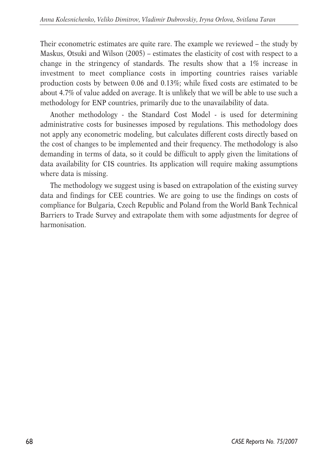Their econometric estimates are quite rare. The example we reviewed – the study by Maskus, Otsuki and Wilson (2005) – estimates the elasticity of cost with respect to a change in the stringency of standards. The results show that a 1% increase in investment to meet compliance costs in importing countries raises variable production costs by between 0.06 and 0.13%; while fixed costs are estimated to be about 4.7% of value added on average. It is unlikely that we will be able to use such a methodology for ENP countries, primarily due to the unavailability of data.

Another methodology - the Standard Cost Model - is used for determining administrative costs for businesses imposed by regulations. This methodology does not apply any econometric modeling, but calculates different costs directly based on the cost of changes to be implemented and their frequency. The methodology is also demanding in terms of data, so it could be difficult to apply given the limitations of data availability for CIS countries. Its application will require making assumptions where data is missing.

The methodology we suggest using is based on extrapolation of the existing survey data and findings for CEE countries. We are going to use the findings on costs of compliance for Bulgaria, Czech Republic and Poland from the World Bank Technical Barriers to Trade Survey and extrapolate them with some adjustments for degree of harmonisation.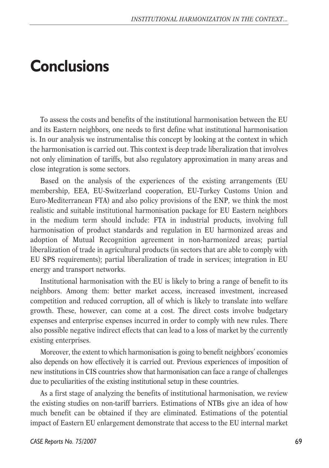## **Conclusions**

To assess the costs and benefits of the institutional harmonisation between the EU and its Eastern neighbors, one needs to first define what institutional harmonisation is. In our analysis we instrumentalise this concept by looking at the context in which the harmonisation is carried out. This context is deep trade liberalization that involves not only elimination of tariffs, but also regulatory approximation in many areas and close integration is some sectors.

Based on the analysis of the experiences of the existing arrangements (EU membership, EEA, EU-Switzerland cooperation, EU-Turkey Customs Union and Euro-Mediterranean FTA) and also policy provisions of the ENP, we think the most realistic and suitable institutional harmonisation package for EU Eastern neighbors in the medium term should include: FTA in industrial products, involving full harmonisation of product standards and regulation in EU harmonized areas and adoption of Mutual Recognition agreement in non-harmonized areas; partial liberalization of trade in agricultural products (in sectors that are able to comply with EU SPS requirements); partial liberalization of trade in services; integration in EU energy and transport networks.

Institutional harmonisation with the EU is likely to bring a range of benefit to its neighbors. Among them: better market access, increased investment, increased competition and reduced corruption, all of which is likely to translate into welfare growth. These, however, can come at a cost. The direct costs involve budgetary expenses and enterprise expenses incurred in order to comply with new rules. There also possible negative indirect effects that can lead to a loss of market by the currently existing enterprises.

Moreover, the extent to which harmonisation is going to benefit neighbors' economies also depends on how effectively it is carried out. Previous experiences of imposition of new institutions in CIS countries show that harmonisation can face a range of challenges due to peculiarities of the existing institutional setup in these countries.

As a first stage of analyzing the benefits of institutional harmonisation, we review the existing studies on non-tariff barriers. Estimations of NTBs give an idea of how much benefit can be obtained if they are eliminated. Estimations of the potential impact of Eastern EU enlargement demonstrate that access to the EU internal market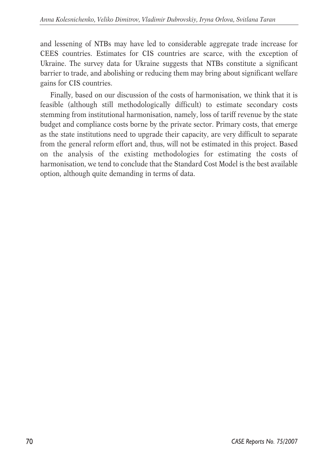and lessening of NTBs may have led to considerable aggregate trade increase for CEES countries. Estimates for CIS countries are scarce, with the exception of Ukraine. The survey data for Ukraine suggests that NTBs constitute a significant barrier to trade, and abolishing or reducing them may bring about significant welfare gains for CIS countries.

Finally, based on our discussion of the costs of harmonisation, we think that it is feasible (although still methodologically difficult) to estimate secondary costs stemming from institutional harmonisation, namely, loss of tariff revenue by the state budget and compliance costs borne by the private sector. Primary costs, that emerge as the state institutions need to upgrade their capacity, are very difficult to separate from the general reform effort and, thus, will not be estimated in this project. Based on the analysis of the existing methodologies for estimating the costs of harmonisation, we tend to conclude that the Standard Cost Model is the best available option, although quite demanding in terms of data.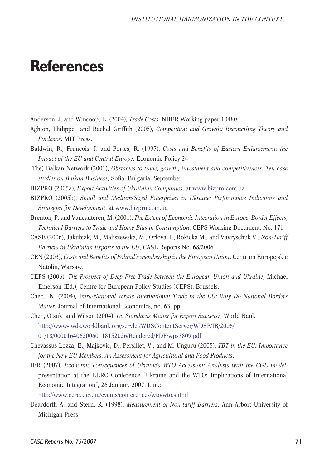## **References**

- Anderson, J. and Wincoop, E. (2004), *Trade Costs.* NBER Working paper 10480
- Aghion, Philippe and Rachel Griffith (2005), *Competition and Growth: Reconciling Theory and Evidence*. MIT Press.
- Baldwin, R., Francois, J. and Portes, R. (1997), *Costs and Benefits of Eastern Enlargement: the Impact of the EU and Central Europe.* Economic Policy 24
- (The) Balkan Network (2001), *Obstacles to trade, growth, investment and competitiveness: Ten case studies on Balkan Business,* Sofia, Bulgaria, September
- BIZPRO (2005a), *Export Activities of Ukrainian Companies*, at www.bizpro.com.ua
- BIZPRO (2005b), *Small and Medium-Sized Enterprises in Ukraine: Performance Indicators and Strategies for Development*, at www.bizpro.com.ua
- Brenton, P. and Vancauteren, M. (2001), *The Extent of Economic Integration in Europe: Border Effects, Technical Barriers to Trade and Home Bias in Consumption*. CEPS Working Document, No. 171
- CASE (2006), Jakubiak, M., Maliszewska, M., Orlova, I., Rokicka M., and Vavryschuk V., *Non-Tariff Barriers in Ukrainian Exports to the EU*, CASE Reports No. 68/2006
- CEN (2003), *Costs and Benefits of Poland's membership in the European Union*. Centrum Europejskie Natolin, Warsaw.
- CEPS (2006), *The Prospect of Deep Free Trade between the European Union and Ukraine*, Michael Emerson (Ed.), Centre for European Policy Studies (CEPS), Brussels.
- Chen., N. (2004), I*ntra-National versus International Trade in the EU: Why Do National Borders Matter.* Journal of International Economics, no. 63, pp.
- Chen, Otsuki and Wilson (2004), *Do Standards Matter for Export Success?,* World Bank http://www- wds.worldbank.org/servlet/WDSContentServer/WDSP/IB/2006/\_ 01/18/00001640620060118152026/Rendered/PDF/wps3809.pdf
- Chevassus-Lozza, E., Majkovic, D., Persillet, V., and M. Unguru (2005), *TBT in the EU: Importance for the New EU Members. An Assessment for Agricultural and Food Products*.
- IER (2007), *Economic consequences of Ukraine's WTO Accession: Analysis with the CGE model,* presentation at the EERC Conference "Ukraine and the WTO: Implications of International Economic Integration", 26 January 2007. Link:

http://www.eerc.kiev.ua/events/conferences/wto/wto.shtml

Deardorff, A. and Stern, R. (1998), *Measurement of Non-tariff Barriers.* Ann Arbor: University of Michigan Press.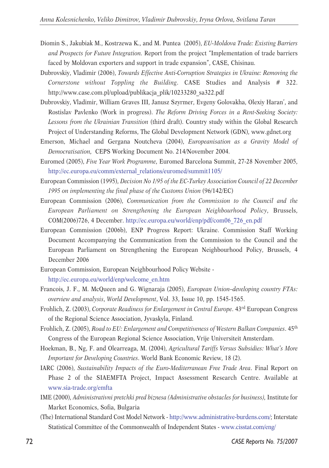- Diomin S., Jakubiak M., Kostrzewa K., and M. Puntea (2005), *EU-Moldova Trade: Existing Barriers and Prospects for Future Integration.* Report from the project "Implementation of trade barriers faced by Moldovan exporters and support in trade expansion", CASE, Chisinau.
- Dubrovskiy, Vladimir (2006), *Towards Effective Anti-Corruption Strategies in Ukraine: Removing the Cornerstone without Toppling the Building*. CASE Studies and Analysis # 322. http://www.case.com.pl/upload/publikacja\_plik/10233280\_sa322.pdf
- Dubrovskiy, Vladimir, William Graves III, Janusz Szyrmer, Evgeny Golovakha, Olexiy Haran', and Rostislav Pavlenko (Work in progress). *The Reform Driving Forces in a Rent-Seeking Society: Lessons from the Ukrainian Transition* (third draft). Country study within the Global Research Project of Understanding Reforms, The Global Development Network (GDN), www.gdnet.org
- Emerson, Michael and Gergana Noutcheva (2004), *Europeanisation as a Gravity Model of Democratisation,* CEPS Working Document No. 214/November 2004.
- Euromed (2005), *Five Year Work Programme*, Euromed Barcelona Summit, 27-28 November 2005, http://ec.europa.eu/comm/external\_relations/euromed/summit1105/
- European Commission (1995), *Decision No 1/95 of the EC-Turkey Association Council of 22 December 1995 on implementing the final phase of the Customs Union* (96/142/EC)
- European Commission (2006), *Communication from the Commission to the Council and the European Parliament on Strengthening the European Neighbourhood Policy*, Brussels, COM(2006)726, 4 December. http://ec.europa.eu/world/enp/pdf/com06\_726\_en.pdf
- European Commission (2006b), ENP Progress Report: Ukraine. Commission Staff Working Document Accompanying the Communication from the Commission to the Council and the European Parliament on Strengthening the European Neighbourhood Policy, Brussels, 4 December 2006
- European Commission, European Neighbourhood Policy Website http://ec.europa.eu/world/enp/welcome\_en.htm
- Francois, J. F., M. McQueen and G. Wignaraja (2005), *European Union–developing country FTAs: overview and analysis*, *World Development*, Vol. 33, Issue 10, pp. 1545-1565.
- Frohlich, Z. (2003), *Corporate Readiness for Enlargement in Central Europe*. 43<sup>rd</sup> European Congress of the Regional Science Association, Jyvaskyla, Finland.
- Frohlich, Z. (2005), *Road to EU: Enlargement and Competitiveness of Western Balkan Companies*. 45th Congress of the European Regional Science Association, Vrije Universiteit Amsterdam.
- Hoekman, B., Ng, F. and Olearreaga, M. (2004), *Agricultural Tariffs Versus Subsidies: What's More Important for Developing Countries*. World Bank Economic Review, 18 (2).
- IARC (2006), *Sustainability Impacts of the Euro-Mediterranean Free Trade Area*. Final Report on Phase 2 of the SIAEMFTA Project, Impact Assessment Research Centre. Available at www.sia-trade.org/emfta
- IME (2000), *Administrativni pretchki pred biznesa (Administrative obstacles for business),* Institute for Market Economics, Sofia, Bulgaria
- (The) International Standard Cost Model Network http://www.administrative-burdens.com/; Interstate Statistical Committee of the Commonwealth of Independent States - www.cisstat.com/eng/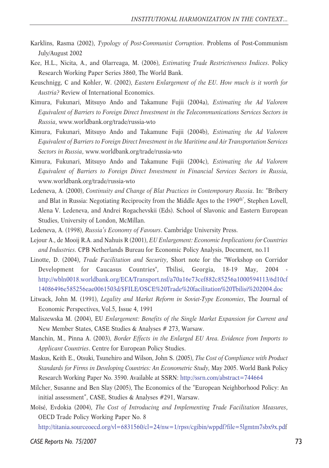- Karklins, Rasma (2002), *Typology of Post-Communist Corruption*. Problems of Post-Communism July/August 2002
- Kee, H.L., Nicita, A., and Olarreaga, M. (2006), *Estimating Trade Restrictiveness Indices*. Policy Research Working Paper Series 3860, The World Bank.
- Keuschnigg, C and Kohler, W. (2002), *Eastern Enlargement of the EU. How much is it worth for Austria?* Review of International Economics.
- Kimura, Fukunari, Mitsuyo Ando and Takamune Fujii (2004a), *Estimating the Ad Valorem Equivalent of Barriers to Foreign Direct Investment in the Telecommunications Services Sectors in Russia*, www.worldbank.org/trade/russia-wto
- Kimura, Fukunari, Mitsuyo Ando and Takamune Fujii (2004b), *Estimating the Ad Valorem Equivalent of Barriers to Foreign Direct Investment in the Maritime and Air Transportation Services Sectors in Russia*, www.worldbank.org/trade/russia-wto
- Kimura, Fukunari, Mitsuyo Ando and Takamune Fujii (2004c), *Estimating the Ad Valorem Equivalent of Barriers to Foreign Direct Investment in Financial Services Sectors in Russia,* www.worldbank.org/trade/russia-wto
- Ledeneva, A. (2000), *Continuity and Change of Blat Practices in Contemporary Russia*. In: "Bribery and Blat in Russia: Negotiating Reciprocity from the Middle Ages to the 1990<sup>th"</sup>, Stephen Lovell, Alena V. Ledeneva, and Andrei Rogachevskii (Eds). School of Slavonic and Eastern European Studies, University of London, McMillan.
- Ledeneva, A. (1998), *Russia's Economy of Favours*. Cambridge University Press.
- Lejour A., de Mooij R.A. and Nahuis R (2001), *EU Enlargement: Economic Implications for Countries and Industries.* CPB Netherlands Bureau for Economic Policy Analysis, Document, no.11
- Linotte, D. (2004), *Trade Facilitation and Security*, Short note for the "Workshop on Corridor Development for Caucasus Countries", Tbilisi, Georgia, 18-19 May, 2004 http://wbln0018.worldbank.org/ECA/Transport.nsf/a70a16e73cef882c85256a1000594113/6d10cf 14086496e585256eae0061503d/\$FILE/OSCE%20Trade%20facilitation%20Tbilisi%202004.doc
- Litwack, John M. (1991), *Legality and Market Reform in Soviet-Type Economies*, The Journal of Economic Perspectives, Vol.5, Issue 4, 1991
- Maliszewska M. (2004), EU *Enlargement: Benefits of the Single Market Expansion for Current and* New Member States, CASE Studies & Analyses # 273, Warsaw.
- Manchin, M., Pinna A. (2003), *Border Effects in the Enlarged EU Area. Evidence from Imports to Applicant Countries*. Centre for European Policy Studies.
- Maskus, Keith E., Otsuki, Tsunehiro and Wilson, John S. (2005), *The Cost of Compliance with Product Standards for Firms in Developing Countries: An Econometric Study,* May 2005. World Bank Policy Research Working Paper No. 3590. Available at SSRN: http://ssrn.com/abstract=744664
- Milcher, Susanne and Ben Slay (2005), The Economics of the "European Neighborhood Policy: An initial assessment", CASE, Studies & Analyses #291, Warsaw.
- Moïsé, Evdokia (2004), *The Cost of Introducing and Implementing Trade Facilitation Measures*, OECD Trade Policy Working Paper No. 8

http://titania.sourceoecd.org/vl=6831560/cl=24/nw=1/rpsv/cgibin/wppdf?file=5lgmtm7sbx9x.pdf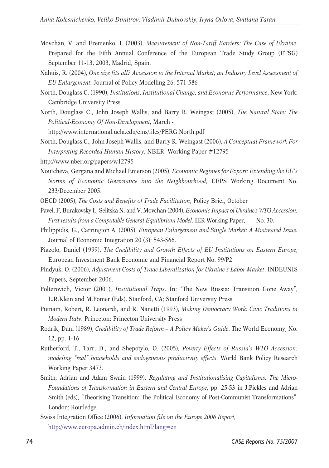- Movchan, V. and Eremenko, I. (2003), *Measurement of Non-Tariff Barriers: The Case of Ukraine*. Prepared for the Fifth Annual Conference of the European Trade Study Group (ETSG) September 11-13, 2003, Madrid, Spain.
- Nahuis, R. (2004), *One size fits all? Accession to the Internal Market; an Industry Level Assessment of EU Enlargement.* Journal of Policy Modelling 26: 571-586
- North, Douglass C. (1990), *Institutions, Institutional Change, and Economic Performance*, New York: Cambridge University Press
- North, Douglass C., John Joseph Wallis, and Barry R. Weingast (2005), *The Natural State: The Political-Economy Of Non-Development,* March -

http://www.international.ucla.edu/cms/files/PERG.North.pdf

- North, Douglass C., John Joseph Wallis, and Barry R. Weingast (2006), *A Conceptual Framework For Interpreting Recorded Human History*, NBER Working Paper #12795 – http://www.nber.org/papers/w12795
- Noutcheva, Gergana and Michael Emerson (2005), *Economic Regimes for Export: Extending the EU's Norms of Economic Governance into the Neighbourhood*, CEPS Working Document No. 233/December 2005.
- OECD (2005), *The Costs and Benefits of Trade Facilitation*, Policy Brief, October
- Pavel, F, Burakovsky I., Selitska N. and V. Movchan (2004), *Economic Impact of Ukraine's WTO Accession:* First results from a Computable General Equilibrium Model. IER Working Paper, No. 30.
- Philippidis, G., Carrington A. (2005), *European Enlargement and Single Market: A Mistreated Issue.* Journal of Economic Integration 20 (3); 543-566.
- Piazolo, Daniel (1999), *The Credibility and Growth Effects of EU Institutions on Eastern Europe*, European Investment Bank Economic and Financial Report No. 99/P2
- Pindyuk, O. (2006), *Adjustment Costs of Trade Liberalization for Ukraine's Labor Market*. INDEUNIS Papers, September 2006.
- Polterovich, Victor (2001), *Institutional Traps*. In: "The New Russia: Transition Gone Away", L.R.Klein and M.Pomer (Eds). Stanford, CA; Stanford University Press
- Putnam, Robert, R. Leonardi, and R. Nanetti (1993), *Making Democracy Work: Civic Traditions in Modern Italy*. Princeton: Princeton University Press
- Rodrik, Dani (1989), *Credibility of Trade Reform A Policy Maker's Guide*. The World Economy, No. 12, pp. 1-16.
- Rutherford, T., Tarr, D., and Shepotylo, O. (2005), *Poverty Effects of Russia's WTO Accession: modeling "real" households and endogeneous productivity effects.* World Bank Policy Research Working Paper 3473.
- Smith, Adrian and Adam Swain (1999), *Regulating and Institutionalising Capitalisms: The Micro-Foundations of Transformation in Eastern and Central Europe*, pp. 25-53 in J.Pickles and Adrian Smith (eds), "Theorising Transition: The Political Economy of Post-Communist Transformations". London: Routledge
- Swiss Integration Office (2006), *Information file on the Europe 2006 Report,* http://www.europa.admin.ch/index.html?lang=en